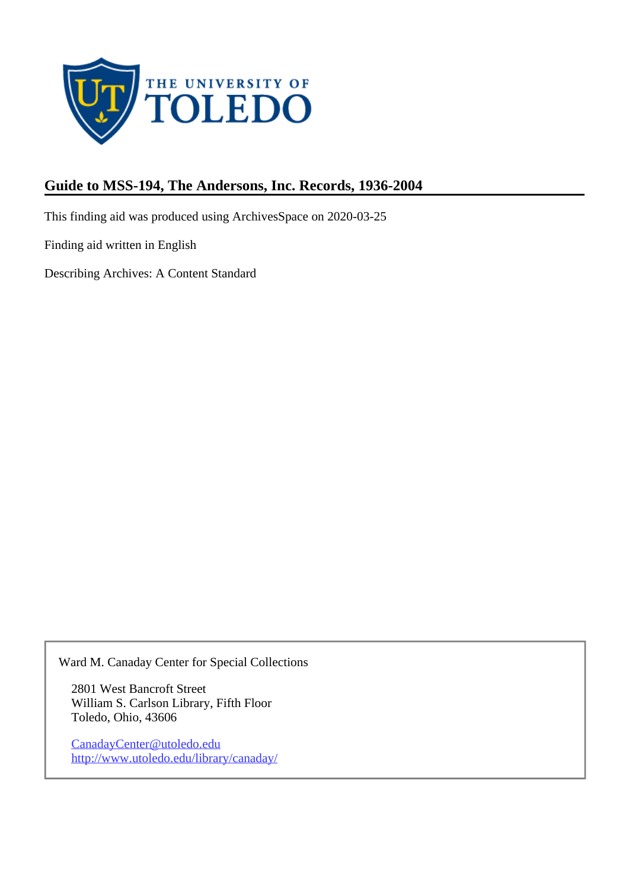

# **Guide to MSS-194, The Andersons, Inc. Records, 1936-2004**

This finding aid was produced using ArchivesSpace on 2020-03-25

Finding aid written in English

Describing Archives: A Content Standard

Ward M. Canaday Center for Special Collections

2801 West Bancroft Street William S. Carlson Library, Fifth Floor Toledo, Ohio, 43606

CanadayCenter@utoledo.edu <http://www.utoledo.edu/library/canaday/>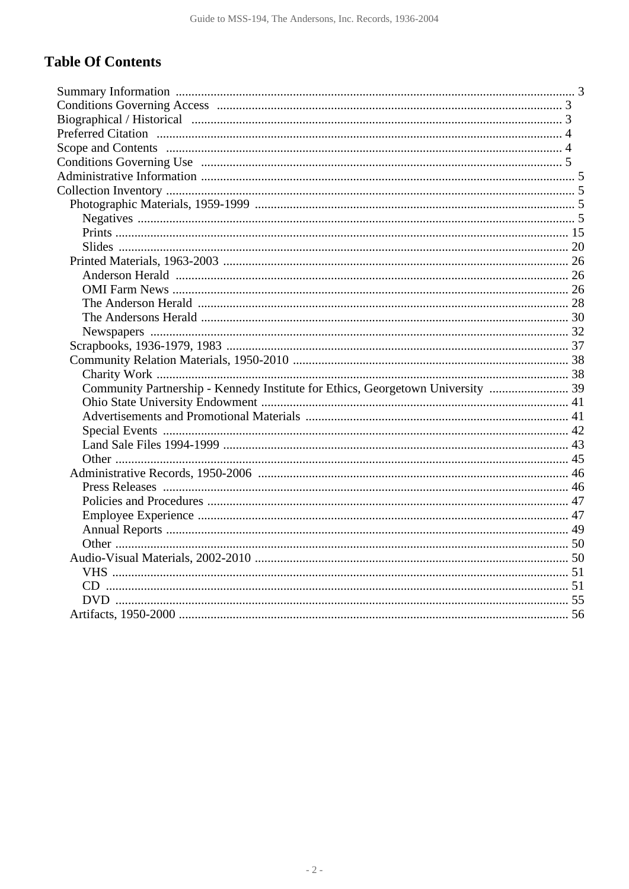# **Table Of Contents**

| Community Partnership - Kennedy Institute for Ethics, Georgetown University  39 |  |
|---------------------------------------------------------------------------------|--|
|                                                                                 |  |
|                                                                                 |  |
|                                                                                 |  |
|                                                                                 |  |
|                                                                                 |  |
|                                                                                 |  |
|                                                                                 |  |
|                                                                                 |  |
|                                                                                 |  |
|                                                                                 |  |
|                                                                                 |  |
|                                                                                 |  |
|                                                                                 |  |
|                                                                                 |  |
|                                                                                 |  |
|                                                                                 |  |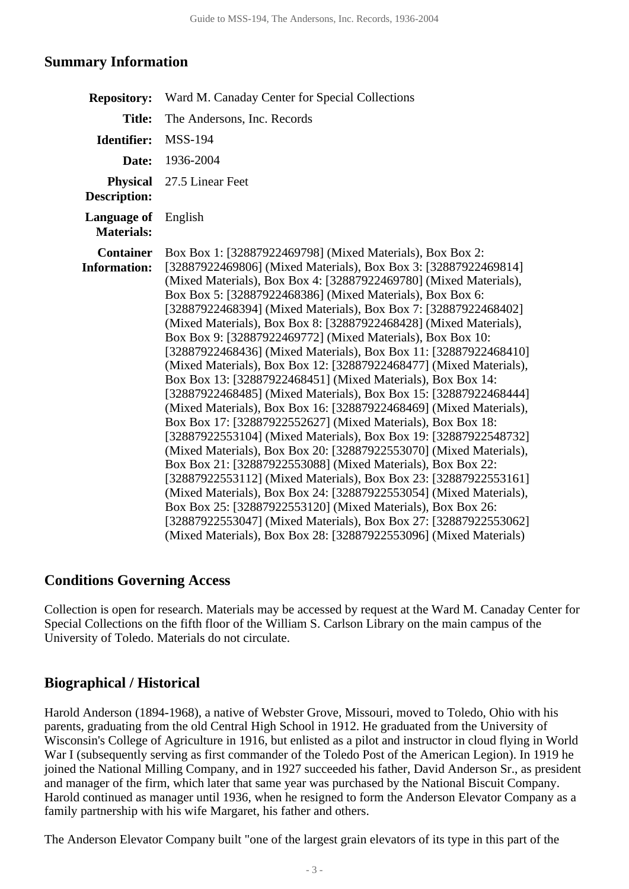### <span id="page-2-0"></span>**Summary Information**

| <b>Repository:</b>                      | Ward M. Canaday Center for Special Collections                                                                                                                                                                                                                                                                                                                                                                                                                                                                                                                                                                                                                                                                                                                                                                                                                                                                                                                                                                                                                                                                                                                                                                                                                                                                                                                                                                                                    |
|-----------------------------------------|---------------------------------------------------------------------------------------------------------------------------------------------------------------------------------------------------------------------------------------------------------------------------------------------------------------------------------------------------------------------------------------------------------------------------------------------------------------------------------------------------------------------------------------------------------------------------------------------------------------------------------------------------------------------------------------------------------------------------------------------------------------------------------------------------------------------------------------------------------------------------------------------------------------------------------------------------------------------------------------------------------------------------------------------------------------------------------------------------------------------------------------------------------------------------------------------------------------------------------------------------------------------------------------------------------------------------------------------------------------------------------------------------------------------------------------------------|
| <b>Title:</b>                           | The Andersons, Inc. Records                                                                                                                                                                                                                                                                                                                                                                                                                                                                                                                                                                                                                                                                                                                                                                                                                                                                                                                                                                                                                                                                                                                                                                                                                                                                                                                                                                                                                       |
| Identifier:                             | <b>MSS-194</b>                                                                                                                                                                                                                                                                                                                                                                                                                                                                                                                                                                                                                                                                                                                                                                                                                                                                                                                                                                                                                                                                                                                                                                                                                                                                                                                                                                                                                                    |
| Date:                                   | 1936-2004                                                                                                                                                                                                                                                                                                                                                                                                                                                                                                                                                                                                                                                                                                                                                                                                                                                                                                                                                                                                                                                                                                                                                                                                                                                                                                                                                                                                                                         |
| <b>Physical</b><br>Description:         | 27.5 Linear Feet                                                                                                                                                                                                                                                                                                                                                                                                                                                                                                                                                                                                                                                                                                                                                                                                                                                                                                                                                                                                                                                                                                                                                                                                                                                                                                                                                                                                                                  |
| Language of<br><b>Materials:</b>        | English                                                                                                                                                                                                                                                                                                                                                                                                                                                                                                                                                                                                                                                                                                                                                                                                                                                                                                                                                                                                                                                                                                                                                                                                                                                                                                                                                                                                                                           |
| <b>Container</b><br><b>Information:</b> | Box Box 1: [32887922469798] (Mixed Materials), Box Box 2:<br>[32887922469806] (Mixed Materials), Box Box 3: [32887922469814]<br>(Mixed Materials), Box Box 4: [32887922469780] (Mixed Materials),<br>Box Box 5: [32887922468386] (Mixed Materials), Box Box 6:<br>[32887922468394] (Mixed Materials), Box Box 7: [32887922468402]<br>(Mixed Materials), Box Box 8: [32887922468428] (Mixed Materials),<br>Box Box 9: [32887922469772] (Mixed Materials), Box Box 10:<br>[32887922468436] (Mixed Materials), Box Box 11: [32887922468410]<br>(Mixed Materials), Box Box 12: [32887922468477] (Mixed Materials),<br>Box Box 13: [32887922468451] (Mixed Materials), Box Box 14:<br>[32887922468485] (Mixed Materials), Box Box 15: [32887922468444]<br>(Mixed Materials), Box Box 16: [32887922468469] (Mixed Materials),<br>Box Box 17: [32887922552627] (Mixed Materials), Box Box 18:<br>[32887922553104] (Mixed Materials), Box Box 19: [32887922548732]<br>(Mixed Materials), Box Box 20: [32887922553070] (Mixed Materials),<br>Box Box 21: [32887922553088] (Mixed Materials), Box Box 22:<br>[32887922553112] (Mixed Materials), Box Box 23: [32887922553161]<br>(Mixed Materials), Box Box 24: [32887922553054] (Mixed Materials),<br>Box Box 25: [32887922553120] (Mixed Materials), Box Box 26:<br>[32887922553047] (Mixed Materials), Box Box 27: [32887922553062]<br>(Mixed Materials), Box Box 28: [32887922553096] (Mixed Materials) |

### <span id="page-2-1"></span>**Conditions Governing Access**

Collection is open for research. Materials may be accessed by request at the Ward M. Canaday Center for Special Collections on the fifth floor of the William S. Carlson Library on the main campus of the University of Toledo. Materials do not circulate.

### <span id="page-2-2"></span>**Biographical / Historical**

Harold Anderson (1894-1968), a native of Webster Grove, Missouri, moved to Toledo, Ohio with his parents, graduating from the old Central High School in 1912. He graduated from the University of Wisconsin's College of Agriculture in 1916, but enlisted as a pilot and instructor in cloud flying in World War I (subsequently serving as first commander of the Toledo Post of the American Legion). In 1919 he joined the National Milling Company, and in 1927 succeeded his father, David Anderson Sr., as president and manager of the firm, which later that same year was purchased by the National Biscuit Company. Harold continued as manager until 1936, when he resigned to form the Anderson Elevator Company as a family partnership with his wife Margaret, his father and others.

The Anderson Elevator Company built "one of the largest grain elevators of its type in this part of the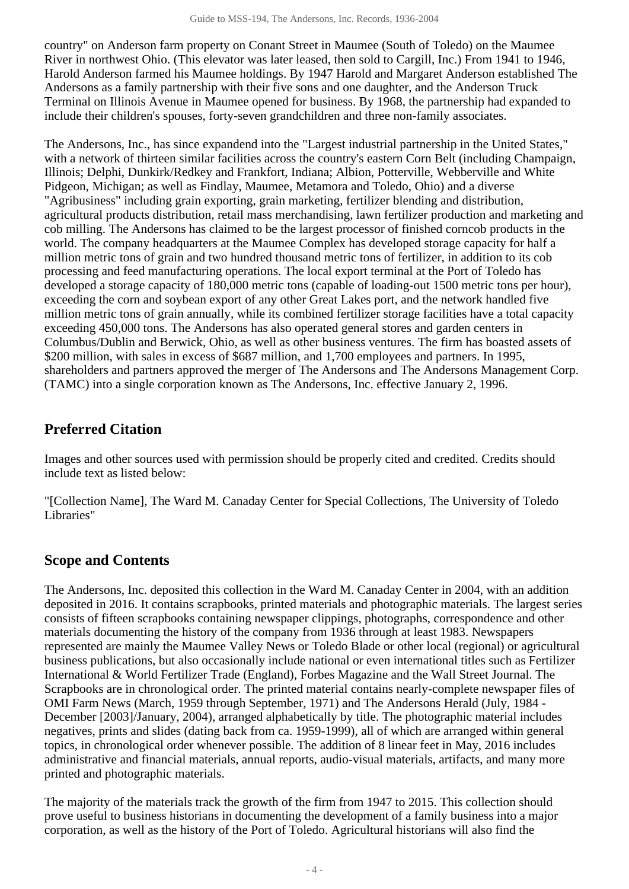country" on Anderson farm property on Conant Street in Maumee (South of Toledo) on the Maumee River in northwest Ohio. (This elevator was later leased, then sold to Cargill, Inc.) From 1941 to 1946, Harold Anderson farmed his Maumee holdings. By 1947 Harold and Margaret Anderson established The Andersons as a family partnership with their five sons and one daughter, and the Anderson Truck Terminal on Illinois Avenue in Maumee opened for business. By 1968, the partnership had expanded to include their children's spouses, forty-seven grandchildren and three non-family associates.

The Andersons, Inc., has since expandend into the "Largest industrial partnership in the United States," with a network of thirteen similar facilities across the country's eastern Corn Belt (including Champaign, Illinois; Delphi, Dunkirk/Redkey and Frankfort, Indiana; Albion, Potterville, Webberville and White Pidgeon, Michigan; as well as Findlay, Maumee, Metamora and Toledo, Ohio) and a diverse "Agribusiness" including grain exporting, grain marketing, fertilizer blending and distribution, agricultural products distribution, retail mass merchandising, lawn fertilizer production and marketing and cob milling. The Andersons has claimed to be the largest processor of finished corncob products in the world. The company headquarters at the Maumee Complex has developed storage capacity for half a million metric tons of grain and two hundred thousand metric tons of fertilizer, in addition to its cob processing and feed manufacturing operations. The local export terminal at the Port of Toledo has developed a storage capacity of 180,000 metric tons (capable of loading-out 1500 metric tons per hour), exceeding the corn and soybean export of any other Great Lakes port, and the network handled five million metric tons of grain annually, while its combined fertilizer storage facilities have a total capacity exceeding 450,000 tons. The Andersons has also operated general stores and garden centers in Columbus/Dublin and Berwick, Ohio, as well as other business ventures. The firm has boasted assets of \$200 million, with sales in excess of \$687 million, and 1,700 employees and partners. In 1995, shareholders and partners approved the merger of The Andersons and The Andersons Management Corp. (TAMC) into a single corporation known as The Andersons, Inc. effective January 2, 1996.

## <span id="page-3-0"></span>**Preferred Citation**

Images and other sources used with permission should be properly cited and credited. Credits should include text as listed below:

"[Collection Name], The Ward M. Canaday Center for Special Collections, The University of Toledo Libraries"

# <span id="page-3-1"></span>**Scope and Contents**

The Andersons, Inc. deposited this collection in the Ward M. Canaday Center in 2004, with an addition deposited in 2016. It contains scrapbooks, printed materials and photographic materials. The largest series consists of fifteen scrapbooks containing newspaper clippings, photographs, correspondence and other materials documenting the history of the company from 1936 through at least 1983. Newspapers represented are mainly the Maumee Valley News or Toledo Blade or other local (regional) or agricultural business publications, but also occasionally include national or even international titles such as Fertilizer International & World Fertilizer Trade (England), Forbes Magazine and the Wall Street Journal. The Scrapbooks are in chronological order. The printed material contains nearly-complete newspaper files of OMI Farm News (March, 1959 through September, 1971) and The Andersons Herald (July, 1984 - December [2003]/January, 2004), arranged alphabetically by title. The photographic material includes negatives, prints and slides (dating back from ca. 1959-1999), all of which are arranged within general topics, in chronological order whenever possible. The addition of 8 linear feet in May, 2016 includes administrative and financial materials, annual reports, audio-visual materials, artifacts, and many more printed and photographic materials.

The majority of the materials track the growth of the firm from 1947 to 2015. This collection should prove useful to business historians in documenting the development of a family business into a major corporation, as well as the history of the Port of Toledo. Agricultural historians will also find the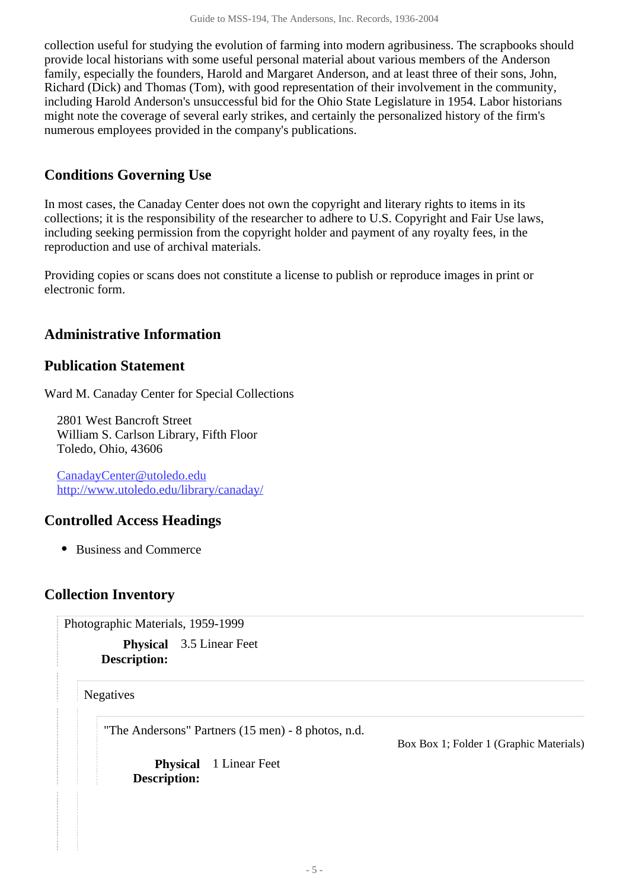collection useful for studying the evolution of farming into modern agribusiness. The scrapbooks should provide local historians with some useful personal material about various members of the Anderson family, especially the founders, Harold and Margaret Anderson, and at least three of their sons, John, Richard (Dick) and Thomas (Tom), with good representation of their involvement in the community, including Harold Anderson's unsuccessful bid for the Ohio State Legislature in 1954. Labor historians might note the coverage of several early strikes, and certainly the personalized history of the firm's numerous employees provided in the company's publications.

## <span id="page-4-0"></span>**Conditions Governing Use**

In most cases, the Canaday Center does not own the copyright and literary rights to items in its collections; it is the responsibility of the researcher to adhere to U.S. Copyright and Fair Use laws, including seeking permission from the copyright holder and payment of any royalty fees, in the reproduction and use of archival materials.

Providing copies or scans does not constitute a license to publish or reproduce images in print or electronic form.

## <span id="page-4-1"></span>**Administrative Information**

### **Publication Statement**

Ward M. Canaday Center for Special Collections

2801 West Bancroft Street William S. Carlson Library, Fifth Floor Toledo, Ohio, 43606

CanadayCenter@utoledo.edu <http://www.utoledo.edu/library/canaday/>

### **Controlled Access Headings**

• Business and Commerce

### <span id="page-4-3"></span><span id="page-4-2"></span>**Collection Inventory**

Photographic Materials, 1959-1999

**Physical** 3.5 Linear Feet **Description:**

<span id="page-4-4"></span>**Negatives** 

"The Andersons" Partners (15 men) - 8 photos, n.d.

Box Box 1; Folder 1 (Graphic Materials)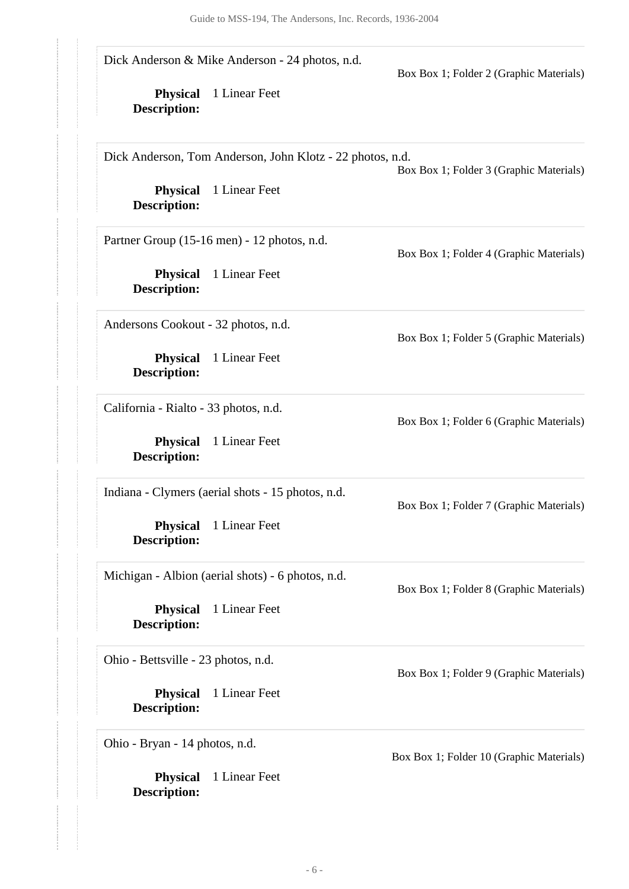| <b>Physical</b><br>Description:        | Dick Anderson & Mike Anderson - 24 photos, n.d.<br>1 Linear Feet | Box Box 1; Folder 2 (Graphic Materials)  |
|----------------------------------------|------------------------------------------------------------------|------------------------------------------|
|                                        | Dick Anderson, Tom Anderson, John Klotz - 22 photos, n.d.        | Box Box 1; Folder 3 (Graphic Materials)  |
| <b>Physical</b><br><b>Description:</b> | 1 Linear Feet                                                    |                                          |
|                                        | Partner Group (15-16 men) - 12 photos, n.d.                      | Box Box 1; Folder 4 (Graphic Materials)  |
| <b>Physical</b><br><b>Description:</b> | 1 Linear Feet                                                    |                                          |
| Andersons Cookout - 32 photos, n.d.    |                                                                  | Box Box 1; Folder 5 (Graphic Materials)  |
| <b>Physical</b><br><b>Description:</b> | 1 Linear Feet                                                    |                                          |
| California - Rialto - 33 photos, n.d.  |                                                                  | Box Box 1; Folder 6 (Graphic Materials)  |
| <b>Physical</b><br><b>Description:</b> | 1 Linear Feet                                                    |                                          |
|                                        | Indiana - Clymers (aerial shots - 15 photos, n.d.                | Box Box 1; Folder 7 (Graphic Materials)  |
| <b>Physical</b><br><b>Description:</b> | 1 Linear Feet                                                    |                                          |
|                                        | Michigan - Albion (aerial shots) - 6 photos, n.d.                | Box Box 1; Folder 8 (Graphic Materials)  |
| <b>Physical</b><br><b>Description:</b> | 1 Linear Feet                                                    |                                          |
| Ohio - Bettsville - 23 photos, n.d.    |                                                                  | Box Box 1; Folder 9 (Graphic Materials)  |
| <b>Physical</b><br><b>Description:</b> | 1 Linear Feet                                                    |                                          |
| Ohio - Bryan - 14 photos, n.d.         |                                                                  | Box Box 1; Folder 10 (Graphic Materials) |
| <b>Physical</b><br><b>Description:</b> | 1 Linear Feet                                                    |                                          |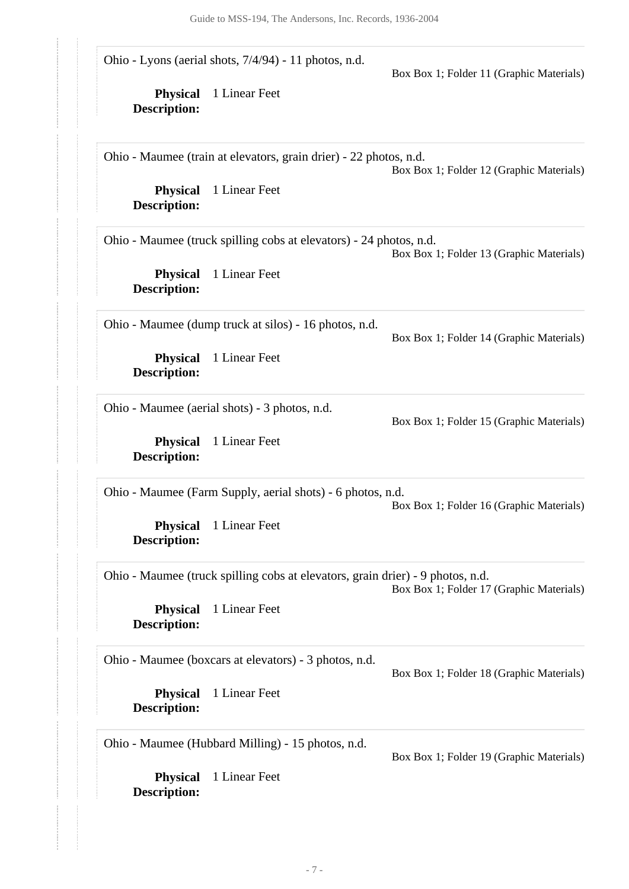**Physical** 1 Linear Feet **Description: Physical** 1 Linear Feet **Description: Physical** 1 Linear Feet **Description: Physical** 1 Linear Feet **Description: Physical** 1 Linear Feet **Description: Physical** 1 Linear Feet **Description: Physical** 1 Linear Feet **Description: Physical** 1 Linear Feet **Description: Physical** 1 Linear Feet **Description:** Ohio - Lyons (aerial shots, 7/4/94) - 11 photos, n.d. Box Box 1; Folder 11 (Graphic Materials) Ohio - Maumee (train at elevators, grain drier) - 22 photos, n.d. Box Box 1; Folder 12 (Graphic Materials) Ohio - Maumee (truck spilling cobs at elevators) - 24 photos, n.d. Box Box 1; Folder 13 (Graphic Materials) Ohio - Maumee (dump truck at silos) - 16 photos, n.d. Box Box 1; Folder 14 (Graphic Materials) Ohio - Maumee (aerial shots) - 3 photos, n.d. Box Box 1; Folder 15 (Graphic Materials) Ohio - Maumee (Farm Supply, aerial shots) - 6 photos, n.d. Box Box 1; Folder 16 (Graphic Materials) Ohio - Maumee (truck spilling cobs at elevators, grain drier) - 9 photos, n.d. Box Box 1; Folder 17 (Graphic Materials) Ohio - Maumee (boxcars at elevators) - 3 photos, n.d. Box Box 1; Folder 18 (Graphic Materials) Ohio - Maumee (Hubbard Milling) - 15 photos, n.d. Box Box 1; Folder 19 (Graphic Materials)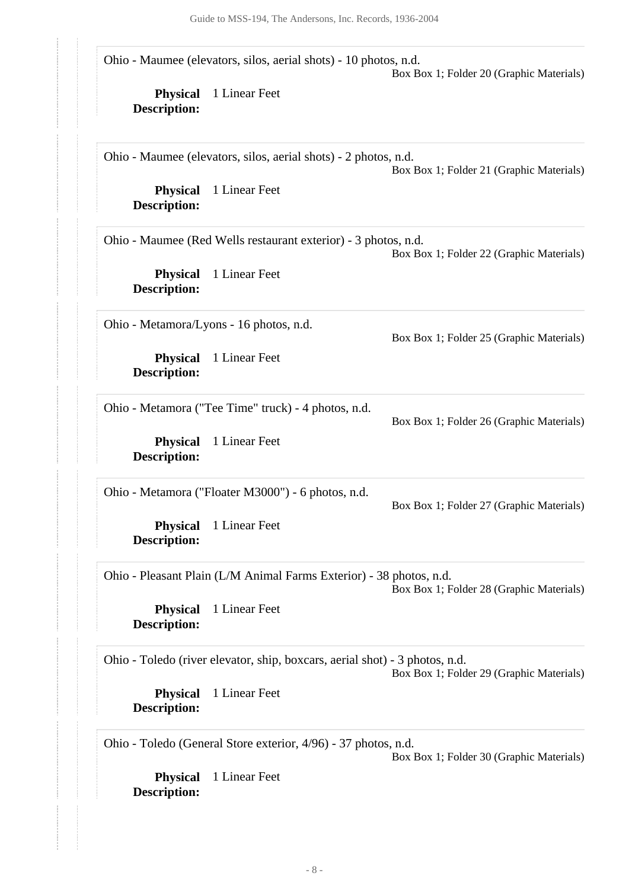|                                        | Ohio - Maumee (elevators, silos, aerial shots) - 10 photos, n.d.            | Box Box 1; Folder 20 (Graphic Materials) |
|----------------------------------------|-----------------------------------------------------------------------------|------------------------------------------|
| <b>Physical</b><br><b>Description:</b> | 1 Linear Feet                                                               |                                          |
|                                        | Ohio - Maumee (elevators, silos, aerial shots) - 2 photos, n.d.             | Box Box 1; Folder 21 (Graphic Materials) |
| <b>Physical</b><br><b>Description:</b> | 1 Linear Feet                                                               |                                          |
|                                        | Ohio - Maumee (Red Wells restaurant exterior) - 3 photos, n.d.              | Box Box 1; Folder 22 (Graphic Materials) |
| <b>Physical</b><br><b>Description:</b> | 1 Linear Feet                                                               |                                          |
|                                        | Ohio - Metamora/Lyons - 16 photos, n.d.                                     | Box Box 1; Folder 25 (Graphic Materials) |
| <b>Physical</b><br><b>Description:</b> | 1 Linear Feet                                                               |                                          |
|                                        | Ohio - Metamora ("Tee Time" truck) - 4 photos, n.d.                         | Box Box 1; Folder 26 (Graphic Materials) |
| <b>Physical</b><br><b>Description:</b> | 1 Linear Feet                                                               |                                          |
|                                        | Ohio - Metamora ("Floater M3000") - 6 photos, n.d.                          | Box Box 1; Folder 27 (Graphic Materials) |
| <b>Physical</b><br><b>Description:</b> | 1 Linear Feet                                                               |                                          |
|                                        | Ohio - Pleasant Plain (L/M Animal Farms Exterior) - 38 photos, n.d.         | Box Box 1; Folder 28 (Graphic Materials) |
| <b>Physical</b><br><b>Description:</b> | 1 Linear Feet                                                               |                                          |
|                                        | Ohio - Toledo (river elevator, ship, boxcars, aerial shot) - 3 photos, n.d. | Box Box 1; Folder 29 (Graphic Materials) |
| <b>Physical</b><br><b>Description:</b> | 1 Linear Feet                                                               |                                          |
|                                        | Ohio - Toledo (General Store exterior, 4/96) - 37 photos, n.d.              | Box Box 1; Folder 30 (Graphic Materials) |
| <b>Physical</b>                        | 1 Linear Feet                                                               |                                          |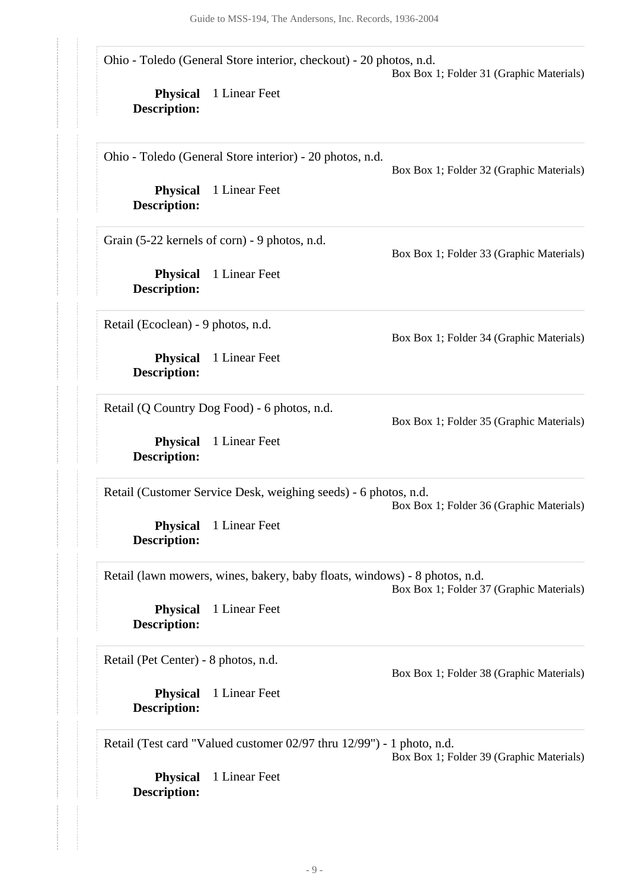Ohio - Toledo (General Store interior, checkout) - 20 photos, n.d.

Box Box 1; Folder 31 (Graphic Materials)

Box Box 1; Folder 32 (Graphic Materials)

Box Box 1; Folder 33 (Graphic Materials)

Box Box 1; Folder 34 (Graphic Materials)

Box Box 1; Folder 35 (Graphic Materials)

**Physical** 1 Linear Feet **Description:**

Ohio - Toledo (General Store interior) - 20 photos, n.d.

**Physical** 1 Linear Feet **Description:**

Grain (5-22 kernels of corn) - 9 photos, n.d.

**Physical** 1 Linear Feet **Description:**

Retail (Ecoclean) - 9 photos, n.d.

**Physical** 1 Linear Feet **Description:**

Retail (Q Country Dog Food) - 6 photos, n.d.

**Physical** 1 Linear Feet **Description:**

Retail (Customer Service Desk, weighing seeds) - 6 photos, n.d.

Box Box 1; Folder 36 (Graphic Materials)

**Physical** 1 Linear Feet **Description:**

Retail (lawn mowers, wines, bakery, baby floats, windows) - 8 photos, n.d. Box Box 1; Folder 37 (Graphic Materials)

**Physical** 1 Linear Feet **Description:**

Retail (Pet Center) - 8 photos, n.d.

**Physical** 1 Linear Feet **Description:**

Box Box 1; Folder 38 (Graphic Materials)

Retail (Test card "Valued customer 02/97 thru 12/99") - 1 photo, n.d.

Box Box 1; Folder 39 (Graphic Materials)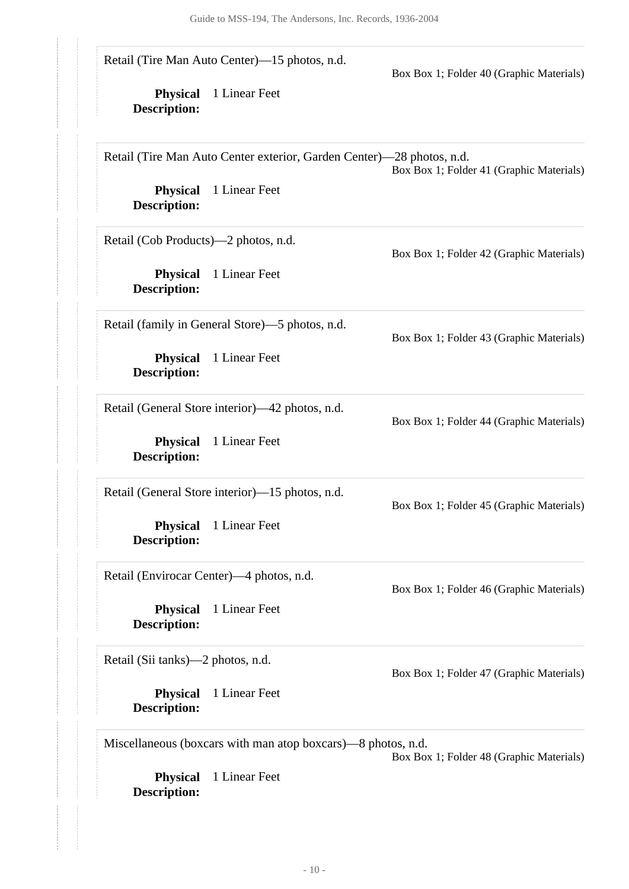| <b>Physical</b><br><b>Description:</b> | Retail (Tire Man Auto Center)—15 photos, n.d.<br>1 Linear Feet        | Box Box 1; Folder 40 (Graphic Materials) |
|----------------------------------------|-----------------------------------------------------------------------|------------------------------------------|
|                                        | Retail (Tire Man Auto Center exterior, Garden Center)—28 photos, n.d. | Box Box 1; Folder 41 (Graphic Materials) |
| <b>Physical</b><br><b>Description:</b> | 1 Linear Feet                                                         |                                          |
| Retail (Cob Products)—2 photos, n.d.   |                                                                       | Box Box 1; Folder 42 (Graphic Materials) |
| <b>Physical</b><br><b>Description:</b> | 1 Linear Feet                                                         |                                          |
|                                        | Retail (family in General Store)—5 photos, n.d.                       | Box Box 1; Folder 43 (Graphic Materials) |
| <b>Physical</b><br><b>Description:</b> | 1 Linear Feet                                                         |                                          |
|                                        | Retail (General Store interior)—42 photos, n.d.                       | Box Box 1; Folder 44 (Graphic Materials) |
| <b>Physical</b><br><b>Description:</b> | 1 Linear Feet                                                         |                                          |
|                                        | Retail (General Store interior)—15 photos, n.d.                       | Box Box 1; Folder 45 (Graphic Materials) |
| <b>Physical</b><br><b>Description:</b> | 1 Linear Feet                                                         |                                          |
|                                        | Retail (Envirocar Center)—4 photos, n.d.                              | Box Box 1; Folder 46 (Graphic Materials) |
| <b>Physical</b><br><b>Description:</b> | 1 Linear Feet                                                         |                                          |
| Retail (Sii tanks)—2 photos, n.d.      |                                                                       | Box Box 1; Folder 47 (Graphic Materials) |
| <b>Physical</b><br><b>Description:</b> | 1 Linear Feet                                                         |                                          |
|                                        | Miscellaneous (boxcars with man atop boxcars)—8 photos, n.d.          | Box Box 1; Folder 48 (Graphic Materials) |
| <b>Physical</b><br><b>Description:</b> | 1 Linear Feet                                                         |                                          |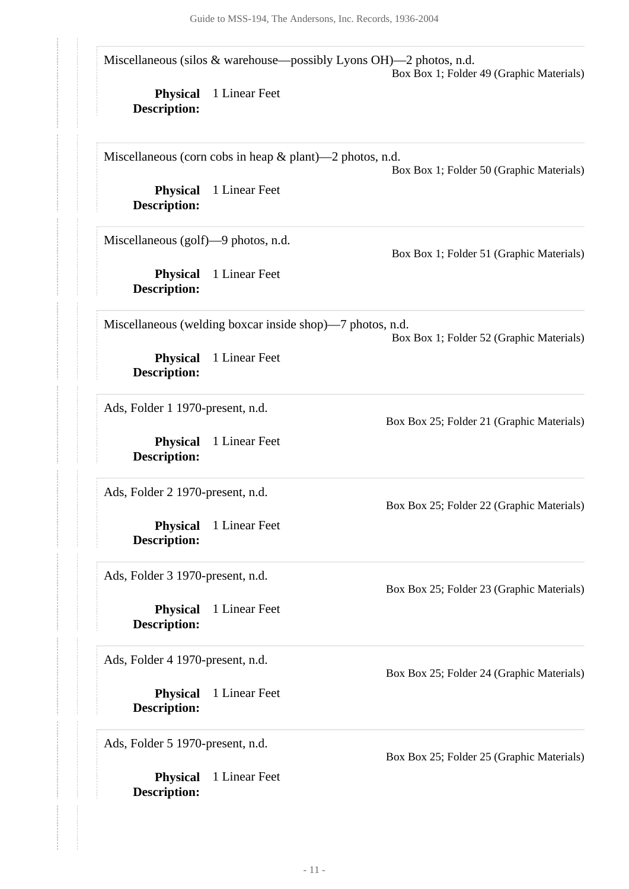|                                        | Miscellaneous (silos & warehouse—possibly Lyons OH)—2 photos, n.d. | Box Box 1; Folder 49 (Graphic Materials)  |
|----------------------------------------|--------------------------------------------------------------------|-------------------------------------------|
| <b>Physical</b><br><b>Description:</b> | 1 Linear Feet                                                      |                                           |
|                                        | Miscellaneous (corn cobs in heap $\&$ plant)—2 photos, n.d.        | Box Box 1; Folder 50 (Graphic Materials)  |
| <b>Physical</b><br><b>Description:</b> | 1 Linear Feet                                                      |                                           |
| Miscellaneous (golf)—9 photos, n.d.    |                                                                    | Box Box 1; Folder 51 (Graphic Materials)  |
| <b>Physical</b><br><b>Description:</b> | 1 Linear Feet                                                      |                                           |
|                                        | Miscellaneous (welding boxcar inside shop)—7 photos, n.d.          | Box Box 1; Folder 52 (Graphic Materials)  |
| <b>Physical</b><br><b>Description:</b> | 1 Linear Feet                                                      |                                           |
| Ads, Folder 1 1970-present, n.d.       |                                                                    | Box Box 25; Folder 21 (Graphic Materials) |
| <b>Physical</b><br><b>Description:</b> | 1 Linear Feet                                                      |                                           |
| Ads, Folder 2 1970-present, n.d.       |                                                                    | Box Box 25; Folder 22 (Graphic Materials) |
| <b>Physical</b><br><b>Description:</b> | 1 Linear Feet                                                      |                                           |
| Ads, Folder 3 1970-present, n.d.       |                                                                    | Box Box 25; Folder 23 (Graphic Materials) |
| <b>Physical</b><br><b>Description:</b> | 1 Linear Feet                                                      |                                           |
| Ads, Folder 4 1970-present, n.d.       |                                                                    | Box Box 25; Folder 24 (Graphic Materials) |
| <b>Physical</b><br><b>Description:</b> | 1 Linear Feet                                                      |                                           |
| Ads, Folder 5 1970-present, n.d.       |                                                                    | Box Box 25; Folder 25 (Graphic Materials) |
| <b>Physical</b><br><b>Description:</b> | 1 Linear Feet                                                      |                                           |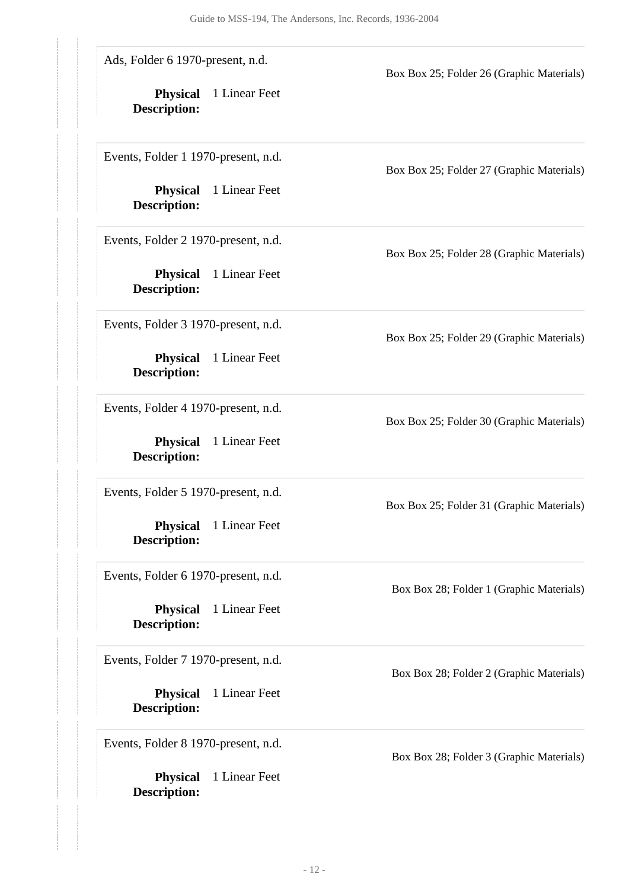| Ads, Folder 6 1970-present, n.d.<br><b>Physical</b><br><b>Description:</b> | 1 Linear Feet | Box Box 25; Folder 26 (Graphic Materials) |
|----------------------------------------------------------------------------|---------------|-------------------------------------------|
| Events, Folder 1 1970-present, n.d.<br><b>Physical</b>                     | 1 Linear Feet | Box Box 25; Folder 27 (Graphic Materials) |
| <b>Description:</b>                                                        |               |                                           |
| Events, Folder 2 1970-present, n.d.                                        |               | Box Box 25; Folder 28 (Graphic Materials) |
| <b>Physical</b><br><b>Description:</b>                                     | 1 Linear Feet |                                           |
| Events, Folder 3 1970-present, n.d.                                        |               | Box Box 25; Folder 29 (Graphic Materials) |
| <b>Physical</b><br><b>Description:</b>                                     | 1 Linear Feet |                                           |
| Events, Folder 4 1970-present, n.d.                                        |               | Box Box 25; Folder 30 (Graphic Materials) |
| <b>Physical</b><br><b>Description:</b>                                     | 1 Linear Feet |                                           |
| Events, Folder 5 1970-present, n.d.                                        |               | Box Box 25; Folder 31 (Graphic Materials) |
| <b>Physical</b><br><b>Description:</b>                                     | 1 Linear Feet |                                           |
| Events, Folder 6 1970-present, n.d.                                        |               | Box Box 28; Folder 1 (Graphic Materials)  |
| <b>Physical</b><br><b>Description:</b>                                     | 1 Linear Feet |                                           |
| Events, Folder 7 1970-present, n.d.                                        |               | Box Box 28; Folder 2 (Graphic Materials)  |
| <b>Physical</b><br><b>Description:</b>                                     | 1 Linear Feet |                                           |
| Events, Folder 8 1970-present, n.d.                                        |               | Box Box 28; Folder 3 (Graphic Materials)  |
| <b>Physical</b><br><b>Description:</b>                                     | 1 Linear Feet |                                           |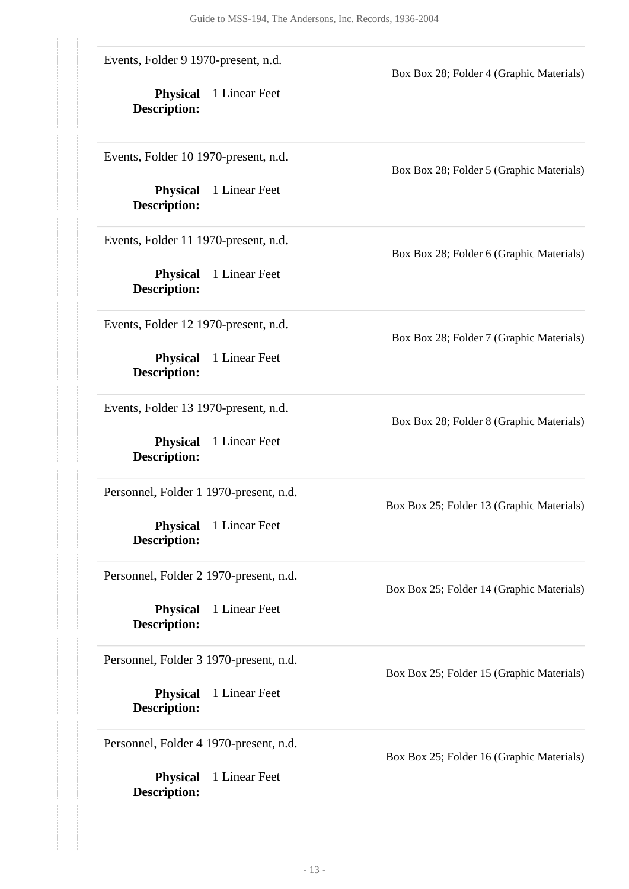| Events, Folder 9 1970-present, n.d.    |               | Box Box 28; Folder 4 (Graphic Materials)  |
|----------------------------------------|---------------|-------------------------------------------|
| <b>Physical</b><br><b>Description:</b> | 1 Linear Feet |                                           |
| Events, Folder 10 1970-present, n.d.   |               | Box Box 28; Folder 5 (Graphic Materials)  |
| <b>Physical</b><br><b>Description:</b> | 1 Linear Feet |                                           |
| Events, Folder 11 1970-present, n.d.   |               | Box Box 28; Folder 6 (Graphic Materials)  |
| <b>Physical</b><br><b>Description:</b> | 1 Linear Feet |                                           |
| Events, Folder 12 1970-present, n.d.   |               | Box Box 28; Folder 7 (Graphic Materials)  |
| <b>Physical</b><br><b>Description:</b> | 1 Linear Feet |                                           |
| Events, Folder 13 1970-present, n.d.   |               | Box Box 28; Folder 8 (Graphic Materials)  |
| <b>Physical</b><br><b>Description:</b> | 1 Linear Feet |                                           |
| Personnel, Folder 1 1970-present, n.d. |               | Box Box 25; Folder 13 (Graphic Materials) |
| <b>Physical</b><br><b>Description:</b> | 1 Linear Feet |                                           |
| Personnel, Folder 2 1970-present, n.d. |               | Box Box 25; Folder 14 (Graphic Materials) |
| <b>Physical</b><br><b>Description:</b> | 1 Linear Feet |                                           |
| Personnel, Folder 3 1970-present, n.d. |               | Box Box 25; Folder 15 (Graphic Materials) |
| <b>Physical</b><br><b>Description:</b> | 1 Linear Feet |                                           |
| Personnel, Folder 4 1970-present, n.d. |               | Box Box 25; Folder 16 (Graphic Materials) |
| <b>Physical</b><br><b>Description:</b> | 1 Linear Feet |                                           |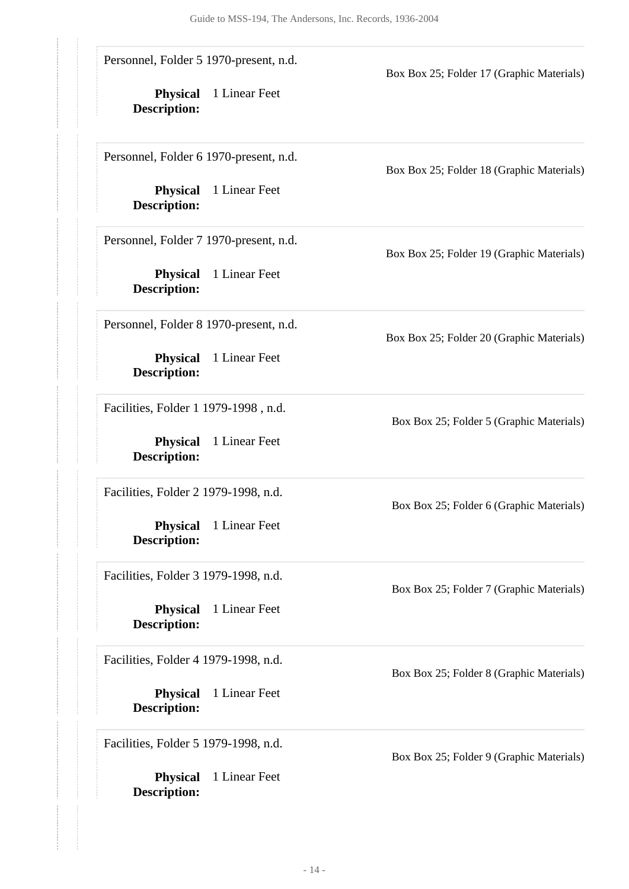| Personnel, Folder 5 1970-present, n.d.<br><b>Physical</b><br>1 Linear Feet<br><b>Description:</b> | Box Box 25; Folder 17 (Graphic Materials) |
|---------------------------------------------------------------------------------------------------|-------------------------------------------|
| Personnel, Folder 6 1970-present, n.d.<br><b>Physical</b><br>1 Linear Feet<br><b>Description:</b> | Box Box 25; Folder 18 (Graphic Materials) |
| Personnel, Folder 7 1970-present, n.d.<br>1 Linear Feet<br><b>Physical</b>                        | Box Box 25; Folder 19 (Graphic Materials) |
| <b>Description:</b><br>Personnel, Folder 8 1970-present, n.d.                                     | Box Box 25; Folder 20 (Graphic Materials) |
| 1 Linear Feet<br><b>Physical</b><br><b>Description:</b><br>Facilities, Folder 1 1979-1998, n.d.   |                                           |
| <b>Physical</b><br>1 Linear Feet<br><b>Description:</b>                                           | Box Box 25; Folder 5 (Graphic Materials)  |
| Facilities, Folder 2 1979-1998, n.d.<br>1 Linear Feet<br><b>Physical</b><br><b>Description:</b>   | Box Box 25; Folder 6 (Graphic Materials)  |
| Facilities, Folder 3 1979-1998, n.d.<br>1 Linear Feet<br><b>Physical</b>                          | Box Box 25; Folder 7 (Graphic Materials)  |
| <b>Description:</b><br>Facilities, Folder 4 1979-1998, n.d.                                       | Box Box 25; Folder 8 (Graphic Materials)  |
| <b>Physical</b><br>1 Linear Feet<br><b>Description:</b><br>Facilities, Folder 5 1979-1998, n.d.   |                                           |
| 1 Linear Feet<br><b>Physical</b><br><b>Description:</b>                                           | Box Box 25; Folder 9 (Graphic Materials)  |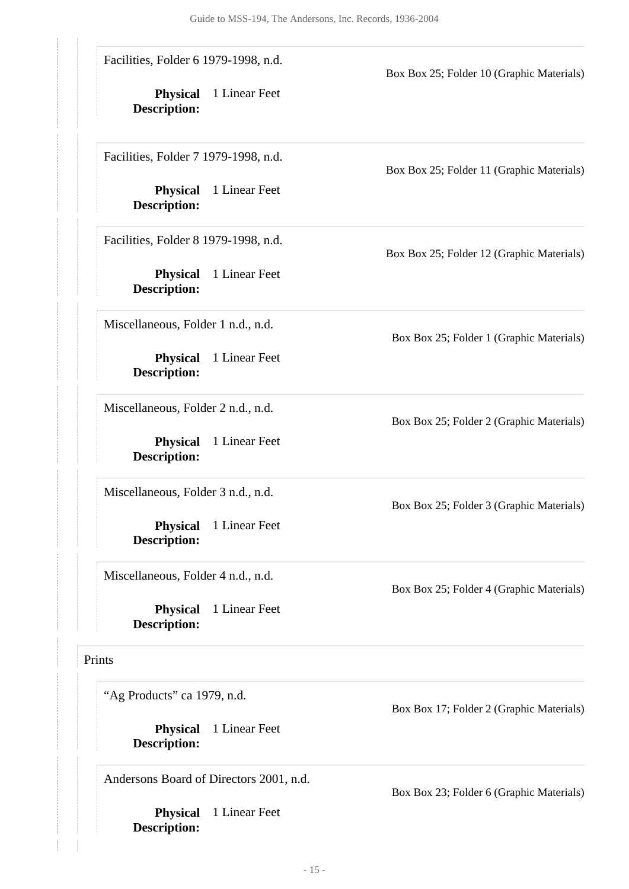| Facilities, Folder 6 1979-1998, n.d.<br>Box Box 25; Folder 10 (Graphic Materials)<br><b>Physical</b><br>1 Linear Feet<br>Description:<br>Facilities, Folder 7 1979-1998, n.d.<br>Box Box 25; Folder 11 (Graphic Materials)<br><b>Physical</b><br>1 Linear Feet<br><b>Description:</b><br>Facilities, Folder 8 1979-1998, n.d.<br>Box Box 25; Folder 12 (Graphic Materials)<br>1 Linear Feet<br><b>Physical</b><br><b>Description:</b><br>Miscellaneous, Folder 1 n.d., n.d.<br>Box Box 25; Folder 1 (Graphic Materials)<br><b>Physical</b><br>1 Linear Feet<br><b>Description:</b><br>Miscellaneous, Folder 2 n.d., n.d.<br>Box Box 25; Folder 2 (Graphic Materials)<br>1 Linear Feet<br><b>Physical</b><br><b>Description:</b><br>Miscellaneous, Folder 3 n.d., n.d.<br>Box Box 25; Folder 3 (Graphic Materials)<br><b>Physical</b><br>1 Linear Feet<br><b>Description:</b><br>Miscellaneous, Folder 4 n.d., n.d.<br>Box Box 25; Folder 4 (Graphic Materials) |                                                                                        |                                          |
|----------------------------------------------------------------------------------------------------------------------------------------------------------------------------------------------------------------------------------------------------------------------------------------------------------------------------------------------------------------------------------------------------------------------------------------------------------------------------------------------------------------------------------------------------------------------------------------------------------------------------------------------------------------------------------------------------------------------------------------------------------------------------------------------------------------------------------------------------------------------------------------------------------------------------------------------------------------|----------------------------------------------------------------------------------------|------------------------------------------|
|                                                                                                                                                                                                                                                                                                                                                                                                                                                                                                                                                                                                                                                                                                                                                                                                                                                                                                                                                                |                                                                                        |                                          |
|                                                                                                                                                                                                                                                                                                                                                                                                                                                                                                                                                                                                                                                                                                                                                                                                                                                                                                                                                                |                                                                                        |                                          |
|                                                                                                                                                                                                                                                                                                                                                                                                                                                                                                                                                                                                                                                                                                                                                                                                                                                                                                                                                                |                                                                                        |                                          |
|                                                                                                                                                                                                                                                                                                                                                                                                                                                                                                                                                                                                                                                                                                                                                                                                                                                                                                                                                                |                                                                                        |                                          |
|                                                                                                                                                                                                                                                                                                                                                                                                                                                                                                                                                                                                                                                                                                                                                                                                                                                                                                                                                                |                                                                                        |                                          |
|                                                                                                                                                                                                                                                                                                                                                                                                                                                                                                                                                                                                                                                                                                                                                                                                                                                                                                                                                                |                                                                                        |                                          |
|                                                                                                                                                                                                                                                                                                                                                                                                                                                                                                                                                                                                                                                                                                                                                                                                                                                                                                                                                                |                                                                                        |                                          |
|                                                                                                                                                                                                                                                                                                                                                                                                                                                                                                                                                                                                                                                                                                                                                                                                                                                                                                                                                                | "Ag Products" ca 1979, n.d.<br>1 Linear Feet<br><b>Physical</b><br><b>Description:</b> | Box Box 17; Folder 2 (Graphic Materials) |

Box Box 23; Folder 6 (Graphic Materials)

**Physical** 1 Linear Feet

<span id="page-14-0"></span>**Description:**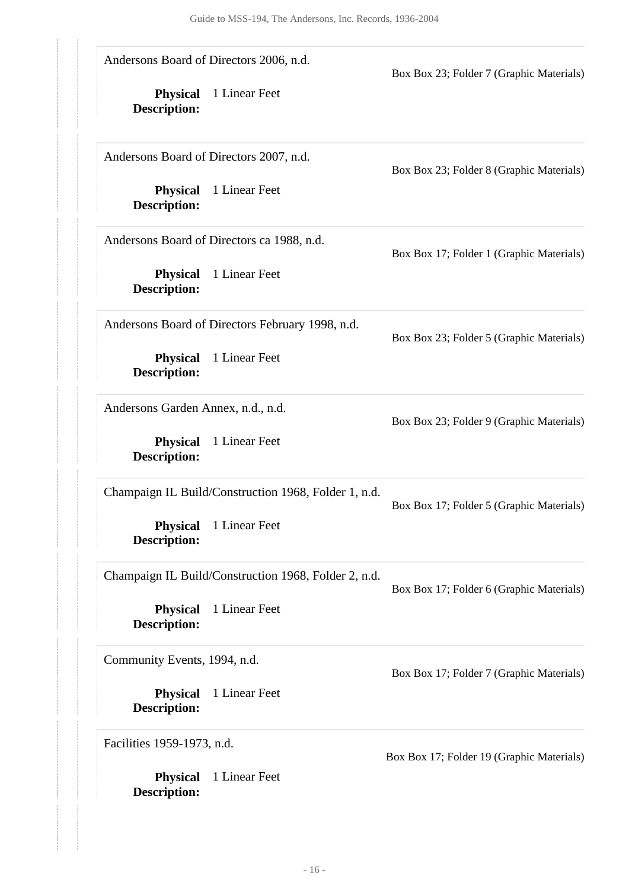|                                        | Andersons Board of Directors 2006, n.d.              | Box Box 23; Folder 7 (Graphic Materials)  |
|----------------------------------------|------------------------------------------------------|-------------------------------------------|
| <b>Physical</b><br><b>Description:</b> | 1 Linear Feet                                        |                                           |
|                                        | Andersons Board of Directors 2007, n.d.              | Box Box 23; Folder 8 (Graphic Materials)  |
| <b>Physical</b><br><b>Description:</b> | 1 Linear Feet                                        |                                           |
|                                        | Andersons Board of Directors ca 1988, n.d.           | Box Box 17; Folder 1 (Graphic Materials)  |
| <b>Physical</b><br><b>Description:</b> | 1 Linear Feet                                        |                                           |
|                                        | Andersons Board of Directors February 1998, n.d.     | Box Box 23; Folder 5 (Graphic Materials)  |
| <b>Physical</b><br><b>Description:</b> | 1 Linear Feet                                        |                                           |
| Andersons Garden Annex, n.d., n.d.     |                                                      | Box Box 23; Folder 9 (Graphic Materials)  |
| <b>Physical</b><br><b>Description:</b> | 1 Linear Feet                                        |                                           |
|                                        | Champaign IL Build/Construction 1968, Folder 1, n.d. | Box Box 17; Folder 5 (Graphic Materials)  |
| <b>Physical</b><br><b>Description:</b> | 1 Linear Feet                                        |                                           |
|                                        | Champaign IL Build/Construction 1968, Folder 2, n.d. | Box Box 17; Folder 6 (Graphic Materials)  |
| <b>Physical</b><br><b>Description:</b> | 1 Linear Feet                                        |                                           |
| Community Events, 1994, n.d.           |                                                      | Box Box 17; Folder 7 (Graphic Materials)  |
| <b>Physical</b><br><b>Description:</b> | 1 Linear Feet                                        |                                           |
| Facilities 1959-1973, n.d.             |                                                      | Box Box 17; Folder 19 (Graphic Materials) |
| <b>Physical</b><br><b>Description:</b> | 1 Linear Feet                                        |                                           |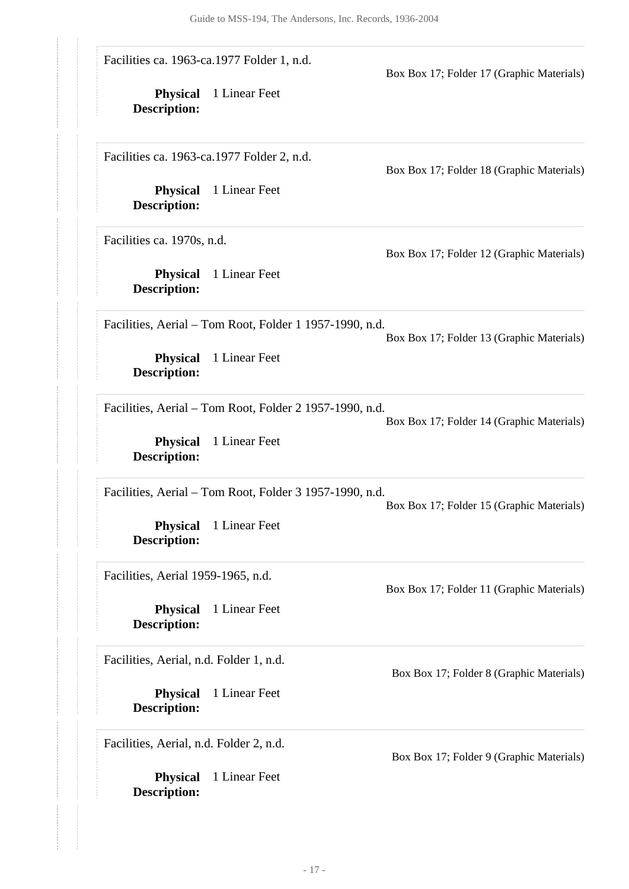Facilities ca. 1963-ca.1977 Folder 1, n.d.

**Physical** 1 Linear Feet **Description:**

Facilities ca. 1963-ca.1977 Folder 2, n.d.

**Physical** 1 Linear Feet **Description:**

Facilities ca. 1970s, n.d.

**Physical** 1 Linear Feet **Description:**

Box Box 17; Folder 18 (Graphic Materials)

Box Box 17; Folder 17 (Graphic Materials)

Box Box 17; Folder 12 (Graphic Materials)

Facilities, Aerial – Tom Root, Folder 1 1957-1990, n.d.

Box Box 17; Folder 13 (Graphic Materials)

**Physical** 1 Linear Feet **Description:**

Facilities, Aerial – Tom Root, Folder 2 1957-1990, n.d.

Box Box 17; Folder 14 (Graphic Materials)

**Physical** 1 Linear Feet **Description:**

Facilities, Aerial – Tom Root, Folder 3 1957-1990, n.d.

Box Box 17; Folder 15 (Graphic Materials)

Box Box 17; Folder 11 (Graphic Materials)

**Physical** 1 Linear Feet **Description:**

Facilities, Aerial 1959-1965, n.d.

**Physical** 1 Linear Feet **Description:**

Facilities, Aerial, n.d. Folder 1, n.d.

**Physical** 1 Linear Feet **Description:**

Facilities, Aerial, n.d. Folder 2, n.d.

**Physical** 1 Linear Feet **Description:**

Box Box 17; Folder 8 (Graphic Materials)

Box Box 17; Folder 9 (Graphic Materials)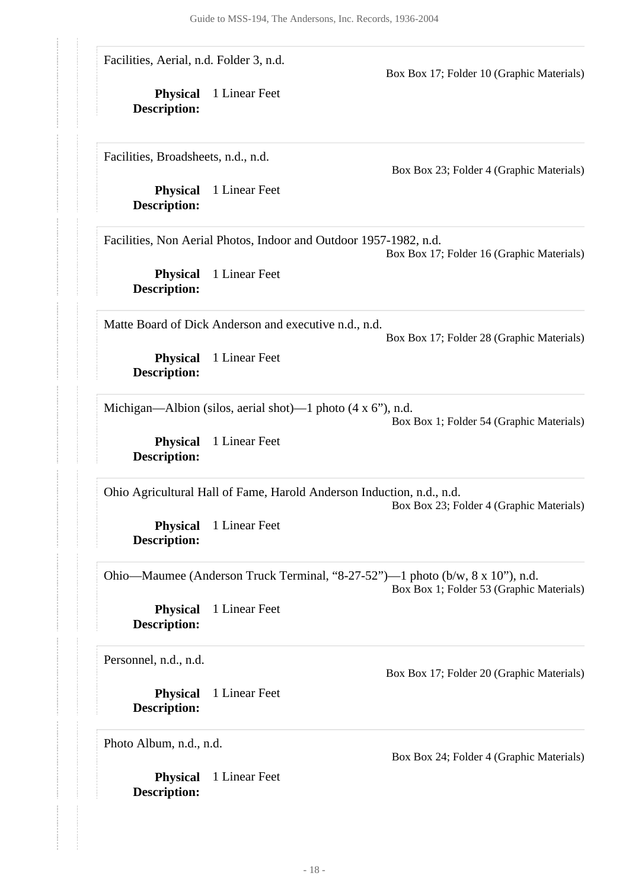Facilities, Aerial, n.d. Folder 3, n.d.

Facilities, Broadsheets, n.d., n.d.

**Physical** 1 Linear Feet **Description:**

**Physical** 1 Linear Feet

**Description:**

Box Box 23; Folder 4 (Graphic Materials)

Box Box 17; Folder 10 (Graphic Materials)

Facilities, Non Aerial Photos, Indoor and Outdoor 1957-1982, n.d.

Box Box 17; Folder 16 (Graphic Materials)

**Physical** 1 Linear Feet **Description:**

Matte Board of Dick Anderson and executive n.d., n.d.

Box Box 17; Folder 28 (Graphic Materials)

**Physical** 1 Linear Feet **Description:**

Michigan—Albion (silos, aerial shot)—1 photo (4 x 6"), n.d.

Box Box 1; Folder 54 (Graphic Materials)

**Physical** 1 Linear Feet **Description:**

Ohio Agricultural Hall of Fame, Harold Anderson Induction, n.d., n.d. Box Box 23; Folder 4 (Graphic Materials)

**Physical** 1 Linear Feet **Description:**

Ohio—Maumee (Anderson Truck Terminal, "8-27-52")—1 photo (b/w, 8 x 10"), n.d. Box Box 1; Folder 53 (Graphic Materials)

**Physical** 1 Linear Feet **Description:**

Personnel, n.d., n.d.

**Physical** 1 Linear Feet **Description:**

Photo Album, n.d., n.d.

**Physical** 1 Linear Feet **Description:**

Box Box 17; Folder 20 (Graphic Materials)

Box Box 24; Folder 4 (Graphic Materials)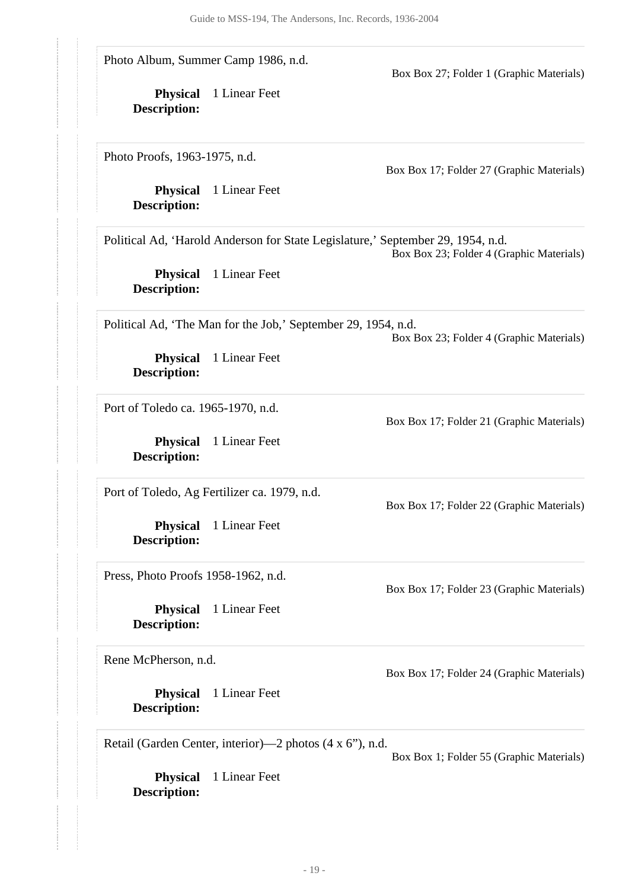Guide to MSS-194, The Andersons, Inc. Records, 1936-2004 **Physical** 1 Linear Feet **Physical** 1 Linear Feet **Description: Physical** 1 Linear Feet **Description: Physical** 1 Linear Feet **Description: Physical** 1 Linear Feet **Description: Physical** 1 Linear Feet **Description: Physical** 1 Linear Feet **Description: Physical** 1 Linear Feet **Description: Physical** 1 Linear Feet **Description:** Photo Album, Summer Camp 1986, n.d. Box Box 27; Folder 1 (Graphic Materials) Photo Proofs, 1963-1975, n.d. Box Box 17; Folder 27 (Graphic Materials) Political Ad, 'Harold Anderson for State Legislature,' September 29, 1954, n.d. Box Box 23; Folder 4 (Graphic Materials) Political Ad, 'The Man for the Job,' September 29, 1954, n.d. Box Box 23; Folder 4 (Graphic Materials) Port of Toledo ca. 1965-1970, n.d. Box Box 17; Folder 21 (Graphic Materials) Port of Toledo, Ag Fertilizer ca. 1979, n.d. Box Box 17; Folder 22 (Graphic Materials) Press, Photo Proofs 1958-1962, n.d. Box Box 17; Folder 23 (Graphic Materials) Rene McPherson, n.d. Box Box 17; Folder 24 (Graphic Materials) Retail (Garden Center, interior)—2 photos (4 x 6"), n.d. Box Box 1; Folder 55 (Graphic Materials)

**Description:**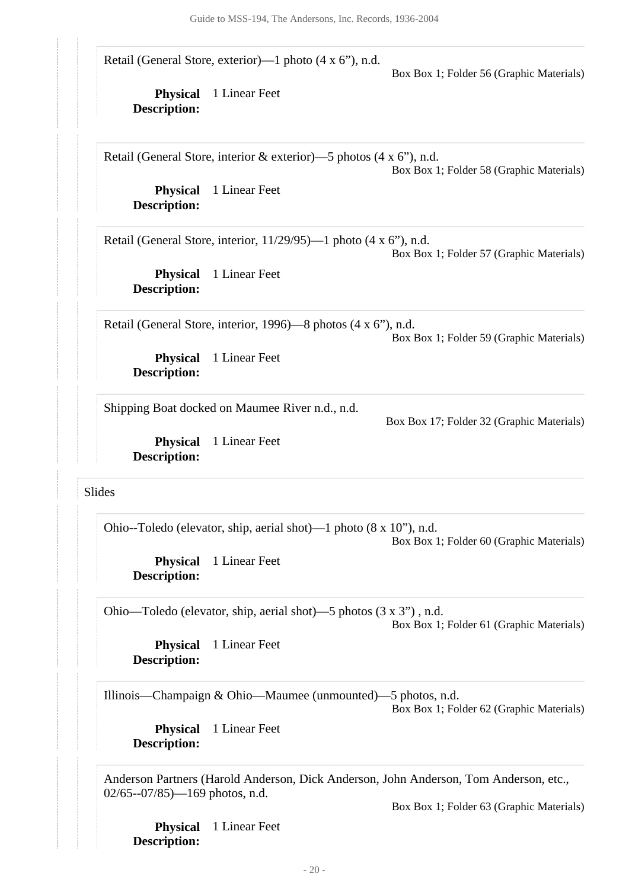<span id="page-19-0"></span>

|                                        |                                                                                   | Box Box 1; Folder 56 (Graphic Materials)  |
|----------------------------------------|-----------------------------------------------------------------------------------|-------------------------------------------|
| <b>Physical</b><br><b>Description:</b> | 1 Linear Feet                                                                     |                                           |
|                                        | Retail (General Store, interior & exterior)—5 photos (4 x 6"), n.d.               | Box Box 1; Folder 58 (Graphic Materials)  |
| <b>Physical</b><br><b>Description:</b> | 1 Linear Feet                                                                     |                                           |
|                                        | Retail (General Store, interior, $11/29/95$ )—1 photo (4 x 6"), n.d.              | Box Box 1; Folder 57 (Graphic Materials)  |
| <b>Physical</b><br><b>Description:</b> | 1 Linear Feet                                                                     |                                           |
|                                        | Retail (General Store, interior, 1996)—8 photos (4 x 6"), n.d.                    | Box Box 1; Folder 59 (Graphic Materials)  |
| <b>Physical</b><br><b>Description:</b> | 1 Linear Feet                                                                     |                                           |
|                                        | Shipping Boat docked on Maumee River n.d., n.d.                                   | Box Box 17; Folder 32 (Graphic Materials) |
| <b>Physical</b><br><b>Description:</b> | 1 Linear Feet                                                                     |                                           |
| Slides                                 |                                                                                   |                                           |
|                                        | Ohio--Toledo (elevator, ship, aerial shot)—1 photo $(8 \times 10^{\circ})$ , n.d. | Box Box 1; Folder 60 (Graphic Materials)  |
| <b>Physical</b><br><b>Description:</b> | 1 Linear Feet                                                                     |                                           |
|                                        | Ohio—Toledo (elevator, ship, aerial shot)—5 photos (3 x 3"), n.d.                 | Box Box 1; Folder 61 (Graphic Materials)  |
| <b>Physical</b><br><b>Description:</b> | 1 Linear Feet                                                                     |                                           |
|                                        | Illinois—Champaign & Ohio—Maumee (unmounted)—5 photos, n.d.                       | Box Box 1; Folder 62 (Graphic Materials)  |
| <b>Physical</b><br><b>Description:</b> | 1 Linear Feet                                                                     |                                           |

Box Box 1; Folder 63 (Graphic Materials)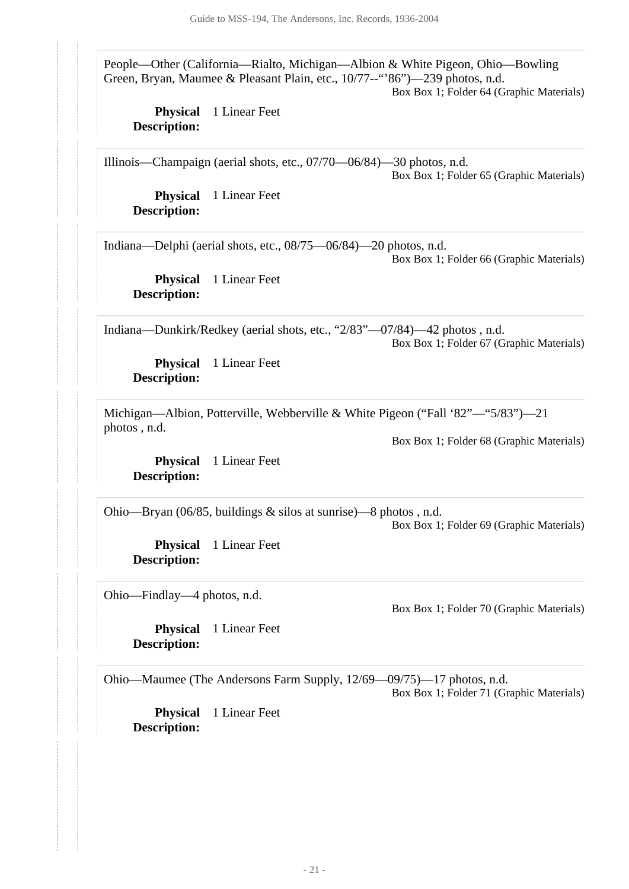People—Other (California—Rialto, Michigan—Albion & White Pigeon, Ohio—Bowling Green, Bryan, Maumee & Pleasant Plain, etc., 10/77--"'86")—239 photos, n.d.

Box Box 1; Folder 64 (Graphic Materials)

**Physical** 1 Linear Feet **Description:**

Illinois—Champaign (aerial shots, etc., 07/70—06/84)—30 photos, n.d. Box Box 1; Folder 65 (Graphic Materials)

**Physical** 1 Linear Feet **Description:**

Indiana—Delphi (aerial shots, etc., 08/75—06/84)—20 photos, n.d.

Box Box 1; Folder 66 (Graphic Materials)

**Physical** 1 Linear Feet **Description:**

Indiana—Dunkirk/Redkey (aerial shots, etc., "2/83"—07/84)—42 photos , n.d. Box Box 1; Folder 67 (Graphic Materials)

**Physical** 1 Linear Feet **Description:**

Michigan—Albion, Potterville, Webberville & White Pigeon ("Fall '82"—"5/83")—21 photos , n.d.

Box Box 1; Folder 68 (Graphic Materials)

**Physical** 1 Linear Feet **Description:**

Ohio—Bryan (06/85, buildings & silos at sunrise)—8 photos , n.d.

Box Box 1; Folder 69 (Graphic Materials)

**Physical** 1 Linear Feet **Description:**

Ohio—Findlay—4 photos, n.d.

Box Box 1; Folder 70 (Graphic Materials)

**Physical** 1 Linear Feet **Description:**

Ohio—Maumee (The Andersons Farm Supply, 12/69—09/75)—17 photos, n.d.

Box Box 1; Folder 71 (Graphic Materials)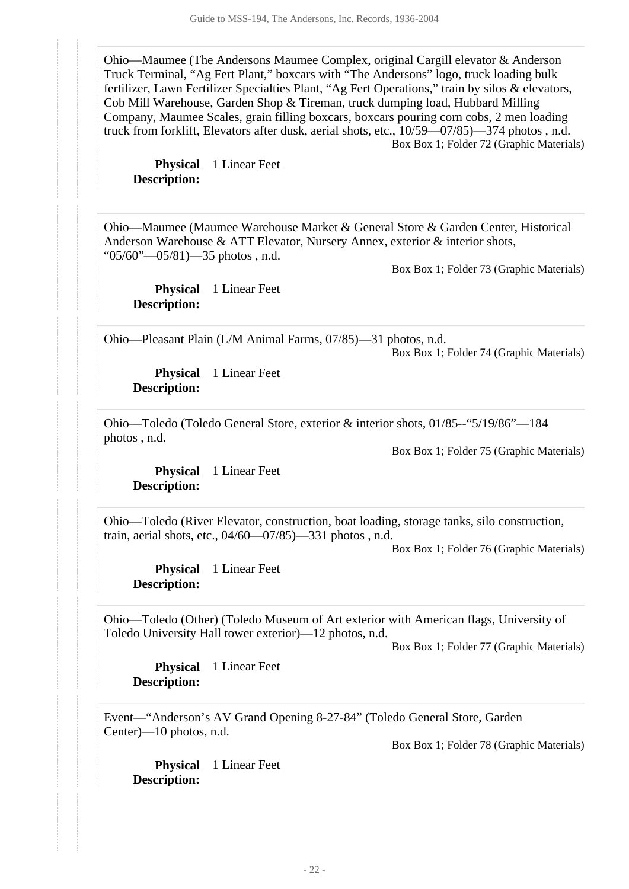Ohio—Maumee (The Andersons Maumee Complex, original Cargill elevator & Anderson Truck Terminal, "Ag Fert Plant," boxcars with "The Andersons" logo, truck loading bulk fertilizer, Lawn Fertilizer Specialties Plant, "Ag Fert Operations," train by silos & elevators, Cob Mill Warehouse, Garden Shop & Tireman, truck dumping load, Hubbard Milling Company, Maumee Scales, grain filling boxcars, boxcars pouring corn cobs, 2 men loading truck from forklift, Elevators after dusk, aerial shots, etc., 10/59—07/85)—374 photos , n.d. Box Box 1; Folder 72 (Graphic Materials)

**Physical** 1 Linear Feet **Description:**

Ohio—Maumee (Maumee Warehouse Market & General Store & Garden Center, Historical Anderson Warehouse & ATT Elevator, Nursery Annex, exterior & interior shots, " $05/60$ "— $05/81$ )—35 photos, n.d.

Box Box 1; Folder 73 (Graphic Materials)

**Physical** 1 Linear Feet **Description:**

Ohio—Pleasant Plain (L/M Animal Farms, 07/85)—31 photos, n.d.

Box Box 1; Folder 74 (Graphic Materials)

**Physical** 1 Linear Feet **Description:**

Ohio—Toledo (Toledo General Store, exterior & interior shots, 01/85--"5/19/86"—184 photos , n.d.

Box Box 1; Folder 75 (Graphic Materials)

**Physical** 1 Linear Feet **Description:**

Ohio—Toledo (River Elevator, construction, boat loading, storage tanks, silo construction, train, aerial shots, etc., 04/60—07/85)—331 photos , n.d.

Box Box 1; Folder 76 (Graphic Materials)

**Physical** 1 Linear Feet **Description:**

Ohio—Toledo (Other) (Toledo Museum of Art exterior with American flags, University of Toledo University Hall tower exterior)—12 photos, n.d.

Box Box 1; Folder 77 (Graphic Materials)

**Physical** 1 Linear Feet **Description:**

Event—"Anderson's AV Grand Opening 8-27-84" (Toledo General Store, Garden Center)—10 photos, n.d.

Box Box 1; Folder 78 (Graphic Materials)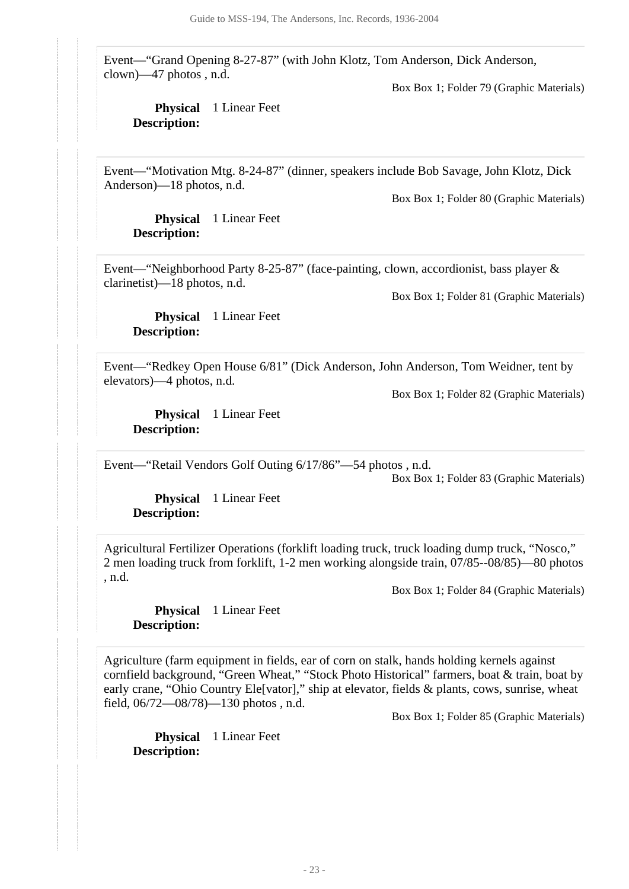Event—"Grand Opening 8-27-87" (with John Klotz, Tom Anderson, Dick Anderson, clown)—47 photos , n.d.

Box Box 1; Folder 79 (Graphic Materials)

#### **Physical** 1 Linear Feet **Description:**

Event—"Motivation Mtg. 8-24-87" (dinner, speakers include Bob Savage, John Klotz, Dick Anderson)—18 photos, n.d.

Box Box 1; Folder 80 (Graphic Materials)

**Physical** 1 Linear Feet **Description:**

Event—"Neighborhood Party 8-25-87" (face-painting, clown, accordionist, bass player & clarinetist)—18 photos, n.d.

Box Box 1; Folder 81 (Graphic Materials)

**Physical** 1 Linear Feet **Description:**

Event—"Redkey Open House 6/81" (Dick Anderson, John Anderson, Tom Weidner, tent by elevators)—4 photos, n.d.

Box Box 1; Folder 82 (Graphic Materials)

**Physical** 1 Linear Feet **Description:**

Event—"Retail Vendors Golf Outing 6/17/86"—54 photos , n.d.

Box Box 1; Folder 83 (Graphic Materials)

**Physical** 1 Linear Feet **Description:**

Agricultural Fertilizer Operations (forklift loading truck, truck loading dump truck, "Nosco," 2 men loading truck from forklift, 1-2 men working alongside train, 07/85--08/85)—80 photos , n.d.

Box Box 1; Folder 84 (Graphic Materials)

**Physical** 1 Linear Feet **Description:**

Agriculture (farm equipment in fields, ear of corn on stalk, hands holding kernels against cornfield background, "Green Wheat," "Stock Photo Historical" farmers, boat & train, boat by early crane, "Ohio Country Ele[vator]," ship at elevator, fields & plants, cows, sunrise, wheat field, 06/72—08/78)—130 photos , n.d.

Box Box 1; Folder 85 (Graphic Materials)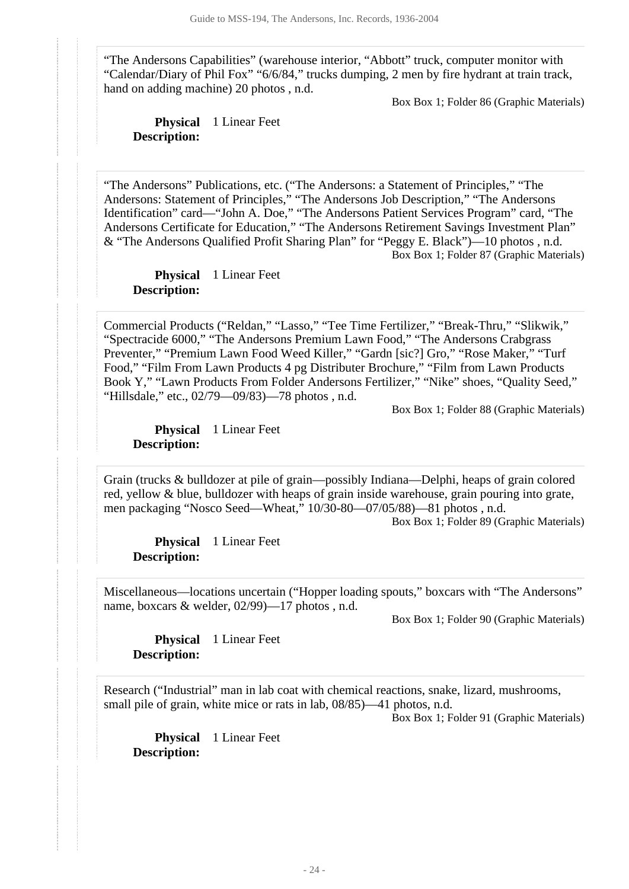"The Andersons Capabilities" (warehouse interior, "Abbott" truck, computer monitor with "Calendar/Diary of Phil Fox" "6/6/84," trucks dumping, 2 men by fire hydrant at train track, hand on adding machine) 20 photos , n.d.

Box Box 1; Folder 86 (Graphic Materials)

**Physical** 1 Linear Feet **Description:**

"The Andersons" Publications, etc. ("The Andersons: a Statement of Principles," "The Andersons: Statement of Principles," "The Andersons Job Description," "The Andersons Identification" card—"John A. Doe," "The Andersons Patient Services Program" card, "The Andersons Certificate for Education," "The Andersons Retirement Savings Investment Plan" & "The Andersons Qualified Profit Sharing Plan" for "Peggy E. Black")—10 photos , n.d. Box Box 1; Folder 87 (Graphic Materials)

**Physical** 1 Linear Feet **Description:**

Commercial Products ("Reldan," "Lasso," "Tee Time Fertilizer," "Break-Thru," "Slikwik," "Spectracide 6000," "The Andersons Premium Lawn Food," "The Andersons Crabgrass Preventer," "Premium Lawn Food Weed Killer," "Gardn [sic?] Gro," "Rose Maker," "Turf Food," "Film From Lawn Products 4 pg Distributer Brochure," "Film from Lawn Products Book Y," "Lawn Products From Folder Andersons Fertilizer," "Nike" shoes, "Quality Seed," "Hillsdale," etc., 02/79—09/83)—78 photos , n.d.

Box Box 1; Folder 88 (Graphic Materials)

**Physical** 1 Linear Feet **Description:**

Grain (trucks & bulldozer at pile of grain—possibly Indiana—Delphi, heaps of grain colored red, yellow & blue, bulldozer with heaps of grain inside warehouse, grain pouring into grate, men packaging "Nosco Seed—Wheat," 10/30-80—07/05/88)—81 photos , n.d.

Box Box 1; Folder 89 (Graphic Materials)

**Physical** 1 Linear Feet **Description:**

Miscellaneous—locations uncertain ("Hopper loading spouts," boxcars with "The Andersons" name, boxcars & welder, 02/99)—17 photos , n.d.

Box Box 1; Folder 90 (Graphic Materials)

**Physical** 1 Linear Feet **Description:**

Research ("Industrial" man in lab coat with chemical reactions, snake, lizard, mushrooms, small pile of grain, white mice or rats in lab, 08/85)—41 photos, n.d.

Box Box 1; Folder 91 (Graphic Materials)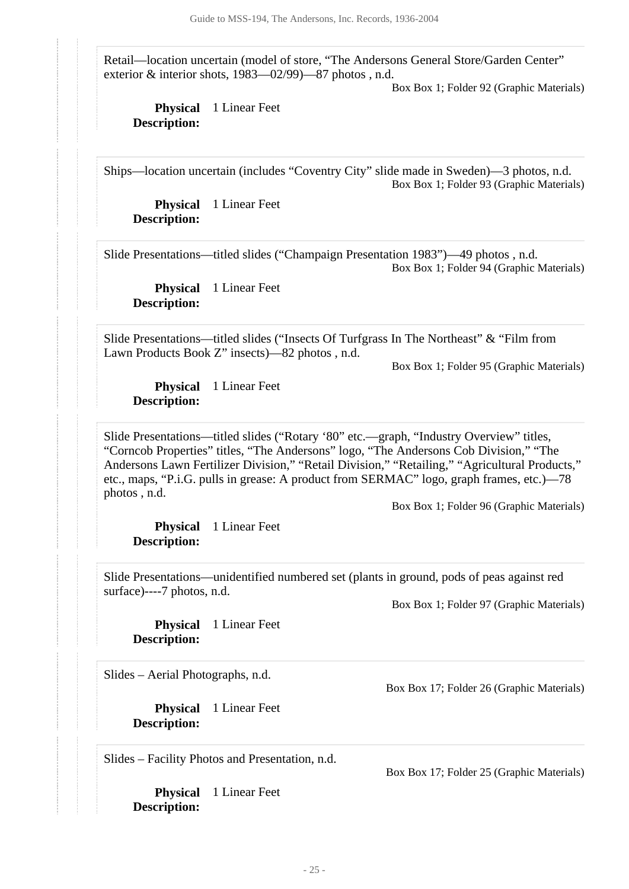Retail—location uncertain (model of store, "The Andersons General Store/Garden Center" exterior & interior shots, 1983—02/99)—87 photos , n.d.

Box Box 1; Folder 92 (Graphic Materials)

**Physical** 1 Linear Feet **Description:**

Ships—location uncertain (includes "Coventry City" slide made in Sweden)—3 photos, n.d. Box Box 1; Folder 93 (Graphic Materials)

**Physical** 1 Linear Feet **Description:**

Slide Presentations—titled slides ("Champaign Presentation 1983")—49 photos , n.d. Box Box 1; Folder 94 (Graphic Materials)

**Physical** 1 Linear Feet **Description:**

Slide Presentations—titled slides ("Insects Of Turfgrass In The Northeast" & "Film from Lawn Products Book Z" insects)—82 photos , n.d.

Box Box 1; Folder 95 (Graphic Materials)

**Physical** 1 Linear Feet **Description:**

Slide Presentations—titled slides ("Rotary '80" etc.—graph, "Industry Overview" titles, "Corncob Properties" titles, "The Andersons" logo, "The Andersons Cob Division," "The Andersons Lawn Fertilizer Division," "Retail Division," "Retailing," "Agricultural Products," etc., maps, "P.i.G. pulls in grease: A product from SERMAC" logo, graph frames, etc.)—78 photos , n.d.

Box Box 1; Folder 96 (Graphic Materials)

**Physical** 1 Linear Feet **Description:**

Slide Presentations—unidentified numbered set (plants in ground, pods of peas against red surface)----7 photos, n.d.

Box Box 1; Folder 97 (Graphic Materials)

**Physical** 1 Linear Feet **Description:**

Slides – Aerial Photographs, n.d.

**Physical** 1 Linear Feet **Description:**

Slides – Facility Photos and Presentation, n.d.

**Physical** 1 Linear Feet **Description:**

Box Box 17; Folder 26 (Graphic Materials)

Box Box 17; Folder 25 (Graphic Materials)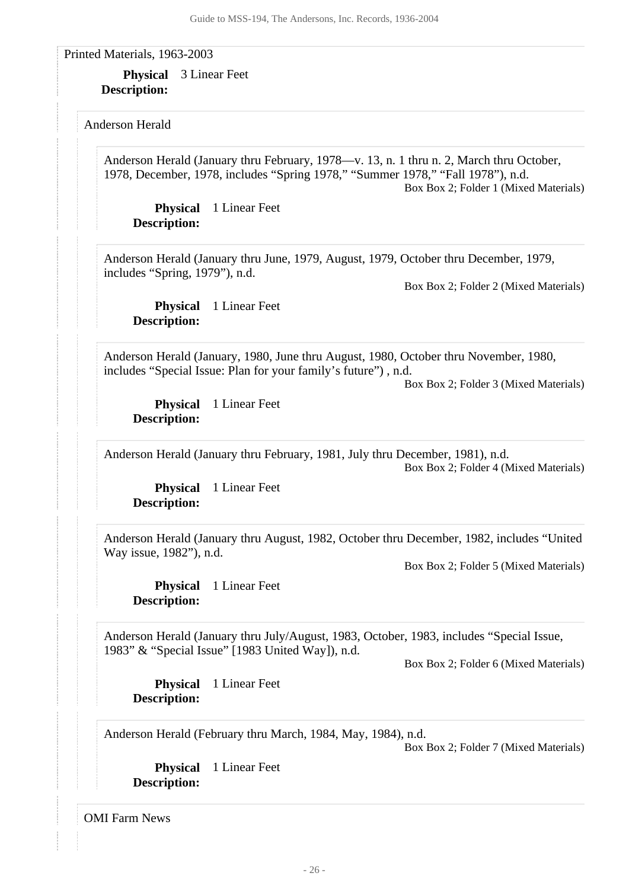<span id="page-25-0"></span>Printed Materials, 1963-2003

**Physical** 3 Linear Feet **Description:**

<span id="page-25-1"></span>Anderson Herald

Anderson Herald (January thru February, 1978—v. 13, n. 1 thru n. 2, March thru October, 1978, December, 1978, includes "Spring 1978," "Summer 1978," "Fall 1978"), n.d. Box Box 2; Folder 1 (Mixed Materials)

**Physical** 1 Linear Feet **Description:**

Anderson Herald (January thru June, 1979, August, 1979, October thru December, 1979, includes "Spring, 1979"), n.d.

Box Box 2; Folder 2 (Mixed Materials)

**Physical** 1 Linear Feet **Description:**

Anderson Herald (January, 1980, June thru August, 1980, October thru November, 1980, includes "Special Issue: Plan for your family's future") , n.d.

Box Box 2; Folder 3 (Mixed Materials)

**Physical** 1 Linear Feet **Description:**

Anderson Herald (January thru February, 1981, July thru December, 1981), n.d.

Box Box 2; Folder 4 (Mixed Materials)

**Physical** 1 Linear Feet **Description:**

Anderson Herald (January thru August, 1982, October thru December, 1982, includes "United Way issue, 1982"), n.d.

Box Box 2; Folder 5 (Mixed Materials)

**Physical** 1 Linear Feet **Description:**

Anderson Herald (January thru July/August, 1983, October, 1983, includes "Special Issue, 1983" & "Special Issue" [1983 United Way]), n.d.

Box Box 2; Folder 6 (Mixed Materials)

**Physical** 1 Linear Feet **Description:**

Anderson Herald (February thru March, 1984, May, 1984), n.d.

Box Box 2; Folder 7 (Mixed Materials)

**Physical** 1 Linear Feet **Description:**

<span id="page-25-2"></span>OMI Farm News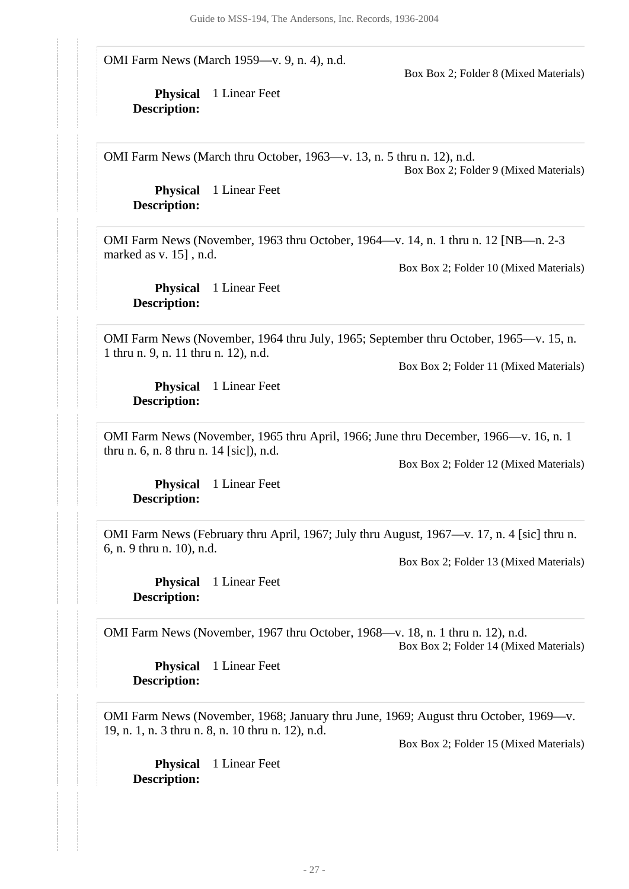OMI Farm News (March 1959—v. 9, n. 4), n.d.

Box Box 2; Folder 8 (Mixed Materials)

**Physical** 1 Linear Feet **Description:**

OMI Farm News (March thru October, 1963—v. 13, n. 5 thru n. 12), n.d. Box Box 2; Folder 9 (Mixed Materials)

**Physical** 1 Linear Feet **Description:**

OMI Farm News (November, 1963 thru October, 1964—v. 14, n. 1 thru n. 12 [NB—n. 2-3 marked as v. 15] , n.d.

Box Box 2; Folder 10 (Mixed Materials)

**Physical** 1 Linear Feet **Description:**

OMI Farm News (November, 1964 thru July, 1965; September thru October, 1965—v. 15, n. 1 thru n. 9, n. 11 thru n. 12), n.d.

Box Box 2; Folder 11 (Mixed Materials)

**Physical** 1 Linear Feet **Description:**

OMI Farm News (November, 1965 thru April, 1966; June thru December, 1966—v. 16, n. 1 thru n. 6, n. 8 thru n. 14 [sic]), n.d.

Box Box 2; Folder 12 (Mixed Materials)

**Physical** 1 Linear Feet **Description:**

OMI Farm News (February thru April, 1967; July thru August, 1967—v. 17, n. 4 [sic] thru n. 6, n. 9 thru n. 10), n.d.

Box Box 2; Folder 13 (Mixed Materials)

**Physical** 1 Linear Feet **Description:**

OMI Farm News (November, 1967 thru October, 1968—v. 18, n. 1 thru n. 12), n.d. Box Box 2; Folder 14 (Mixed Materials)

**Physical** 1 Linear Feet **Description:**

OMI Farm News (November, 1968; January thru June, 1969; August thru October, 1969—v. 19, n. 1, n. 3 thru n. 8, n. 10 thru n. 12), n.d.

Box Box 2; Folder 15 (Mixed Materials)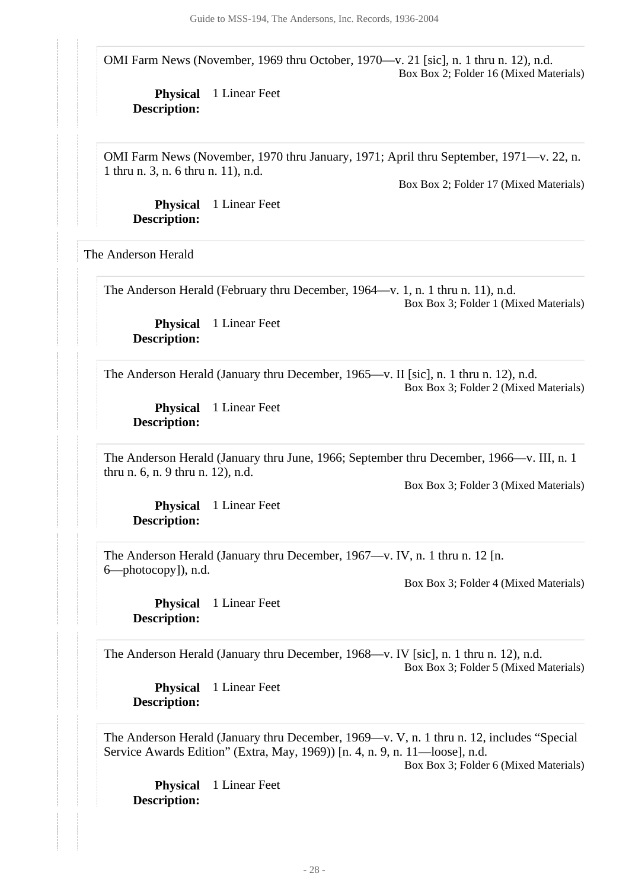OMI Farm News (November, 1969 thru October, 1970—v. 21 [sic], n. 1 thru n. 12), n.d. Box Box 2; Folder 16 (Mixed Materials)

**Physical** 1 Linear Feet **Description:**

OMI Farm News (November, 1970 thru January, 1971; April thru September, 1971—v. 22, n. 1 thru n. 3, n. 6 thru n. 11), n.d.

Box Box 2; Folder 17 (Mixed Materials)

**Physical** 1 Linear Feet **Description:**

<span id="page-27-0"></span>The Anderson Herald

The Anderson Herald (February thru December, 1964—v. 1, n. 1 thru n. 11), n.d.

Box Box 3; Folder 1 (Mixed Materials)

**Physical** 1 Linear Feet **Description:**

The Anderson Herald (January thru December, 1965—v. II [sic], n. 1 thru n. 12), n.d. Box Box 3; Folder 2 (Mixed Materials)

**Physical** 1 Linear Feet **Description:**

The Anderson Herald (January thru June, 1966; September thru December, 1966—v. III, n. 1 thru n. 6, n. 9 thru n. 12), n.d.

Box Box 3; Folder 3 (Mixed Materials)

**Physical** 1 Linear Feet **Description:**

The Anderson Herald (January thru December, 1967—v. IV, n. 1 thru n. 12 [n. 6—photocopy]), n.d.

Box Box 3; Folder 4 (Mixed Materials)

**Physical** 1 Linear Feet **Description:**

The Anderson Herald (January thru December, 1968—v. IV [sic], n. 1 thru n. 12), n.d. Box Box 3; Folder 5 (Mixed Materials)

**Physical** 1 Linear Feet **Description:**

The Anderson Herald (January thru December, 1969—v. V, n. 1 thru n. 12, includes "Special Service Awards Edition" (Extra, May, 1969)) [n. 4, n. 9, n. 11—loose], n.d.

Box Box 3; Folder 6 (Mixed Materials)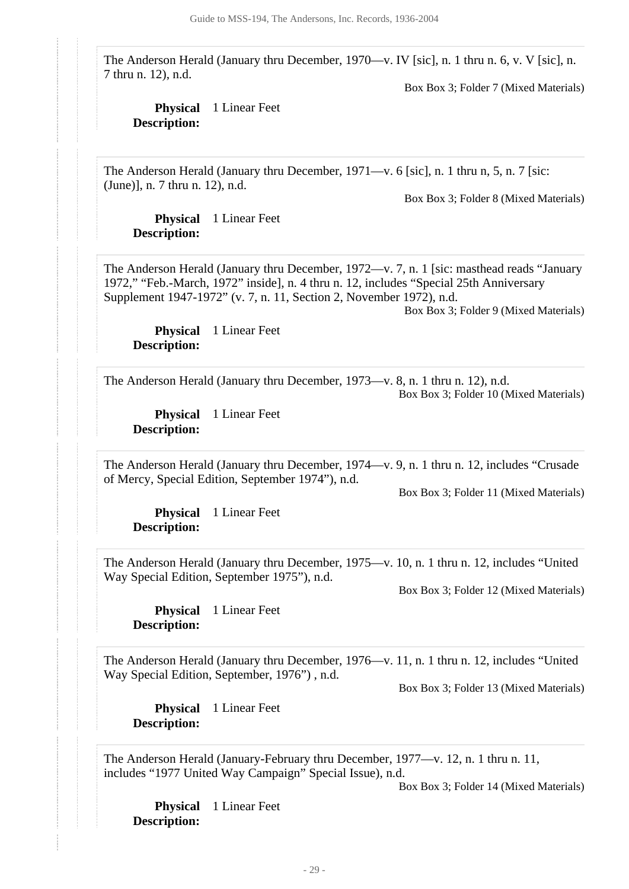The Anderson Herald (January thru December, 1970—v. IV [sic], n. 1 thru n. 6, v. V [sic], n. 7 thru n. 12), n.d.

Box Box 3; Folder 7 (Mixed Materials)

### **Physical** 1 Linear Feet **Description:**

The Anderson Herald (January thru December, 1971—v. 6 [sic], n. 1 thru n, 5, n. 7 [sic: (June)], n. 7 thru n. 12), n.d.

Box Box 3; Folder 8 (Mixed Materials)

**Physical** 1 Linear Feet **Description:**

The Anderson Herald (January thru December, 1972—v. 7, n. 1 [sic: masthead reads "January 1972," "Feb.-March, 1972" inside], n. 4 thru n. 12, includes "Special 25th Anniversary Supplement 1947-1972" (v. 7, n. 11, Section 2, November 1972), n.d.

Box Box 3; Folder 9 (Mixed Materials)

**Physical** 1 Linear Feet **Description:**

The Anderson Herald (January thru December, 1973—v. 8, n. 1 thru n. 12), n.d. Box Box 3; Folder 10 (Mixed Materials)

**Physical** 1 Linear Feet **Description:**

The Anderson Herald (January thru December, 1974—v. 9, n. 1 thru n. 12, includes "Crusade of Mercy, Special Edition, September 1974"), n.d.

Box Box 3; Folder 11 (Mixed Materials)

**Physical** 1 Linear Feet **Description:**

The Anderson Herald (January thru December, 1975—v. 10, n. 1 thru n. 12, includes "United Way Special Edition, September 1975"), n.d.

Box Box 3; Folder 12 (Mixed Materials)

**Physical** 1 Linear Feet **Description:**

The Anderson Herald (January thru December, 1976—v. 11, n. 1 thru n. 12, includes "United Way Special Edition, September, 1976") , n.d.

Box Box 3; Folder 13 (Mixed Materials)

**Physical** 1 Linear Feet **Description:**

The Anderson Herald (January-February thru December, 1977—v. 12, n. 1 thru n. 11, includes "1977 United Way Campaign" Special Issue), n.d.

Box Box 3; Folder 14 (Mixed Materials)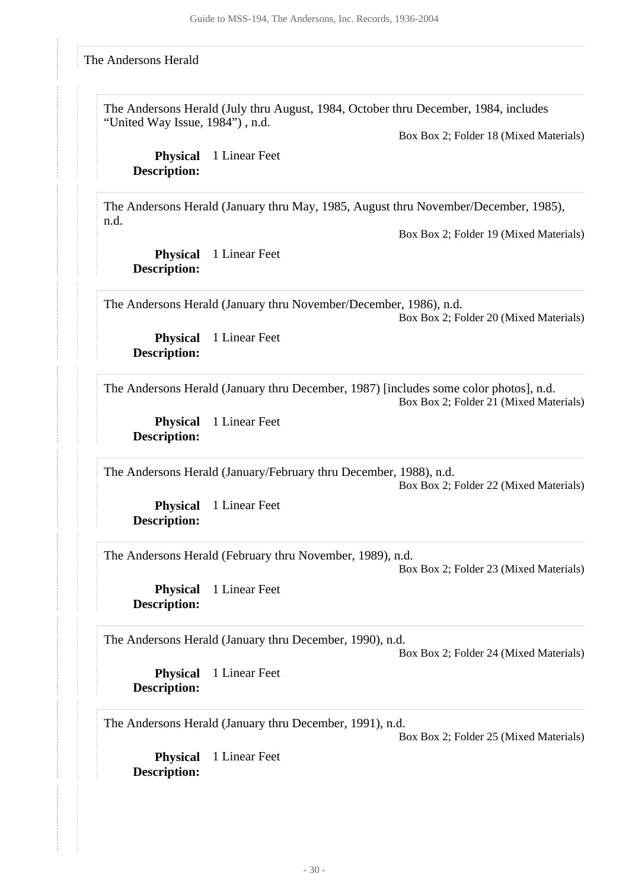#### <span id="page-29-0"></span>The Andersons Herald

The Andersons Herald (July thru August, 1984, October thru December, 1984, includes "United Way Issue, 1984") , n.d.

Box Box 2; Folder 18 (Mixed Materials)

**Physical** 1 Linear Feet **Description:**

The Andersons Herald (January thru May, 1985, August thru November/December, 1985), n.d.

Box Box 2; Folder 19 (Mixed Materials)

**Physical** 1 Linear Feet **Description:**

The Andersons Herald (January thru November/December, 1986), n.d. Box Box 2; Folder 20 (Mixed Materials)

**Physical** 1 Linear Feet **Description:**

The Andersons Herald (January thru December, 1987) [includes some color photos], n.d. Box Box 2; Folder 21 (Mixed Materials)

**Physical** 1 Linear Feet **Description:**

The Andersons Herald (January/February thru December, 1988), n.d.

Box Box 2; Folder 22 (Mixed Materials)

**Physical** 1 Linear Feet **Description:**

The Andersons Herald (February thru November, 1989), n.d.

Box Box 2; Folder 23 (Mixed Materials)

**Physical** 1 Linear Feet **Description:**

The Andersons Herald (January thru December, 1990), n.d.

Box Box 2; Folder 24 (Mixed Materials)

**Physical** 1 Linear Feet **Description:**

The Andersons Herald (January thru December, 1991), n.d.

Box Box 2; Folder 25 (Mixed Materials)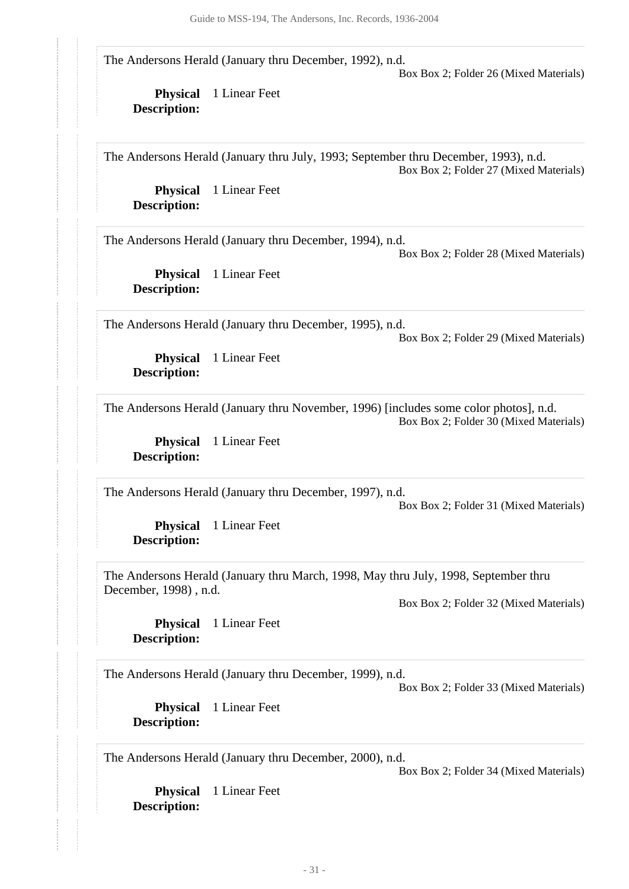The Andersons Herald (January thru December, 1992), n.d.

Box Box 2; Folder 26 (Mixed Materials)

**Physical** 1 Linear Feet **Description:**

The Andersons Herald (January thru July, 1993; September thru December, 1993), n.d. Box Box 2; Folder 27 (Mixed Materials)

**Physical** 1 Linear Feet

**Description:**

The Andersons Herald (January thru December, 1994), n.d.

Box Box 2; Folder 28 (Mixed Materials)

**Physical** 1 Linear Feet **Description:**

The Andersons Herald (January thru December, 1995), n.d.

Box Box 2; Folder 29 (Mixed Materials)

**Physical** 1 Linear Feet **Description:**

The Andersons Herald (January thru November, 1996) [includes some color photos], n.d.

Box Box 2; Folder 30 (Mixed Materials)

**Physical** 1 Linear Feet **Description:**

The Andersons Herald (January thru December, 1997), n.d.

Box Box 2; Folder 31 (Mixed Materials)

**Physical** 1 Linear Feet **Description:**

The Andersons Herald (January thru March, 1998, May thru July, 1998, September thru December, 1998) , n.d.

Box Box 2; Folder 32 (Mixed Materials)

**Physical** 1 Linear Feet **Description:**

The Andersons Herald (January thru December, 1999), n.d.

Box Box 2; Folder 33 (Mixed Materials)

**Physical** 1 Linear Feet **Description:**

The Andersons Herald (January thru December, 2000), n.d.

Box Box 2; Folder 34 (Mixed Materials)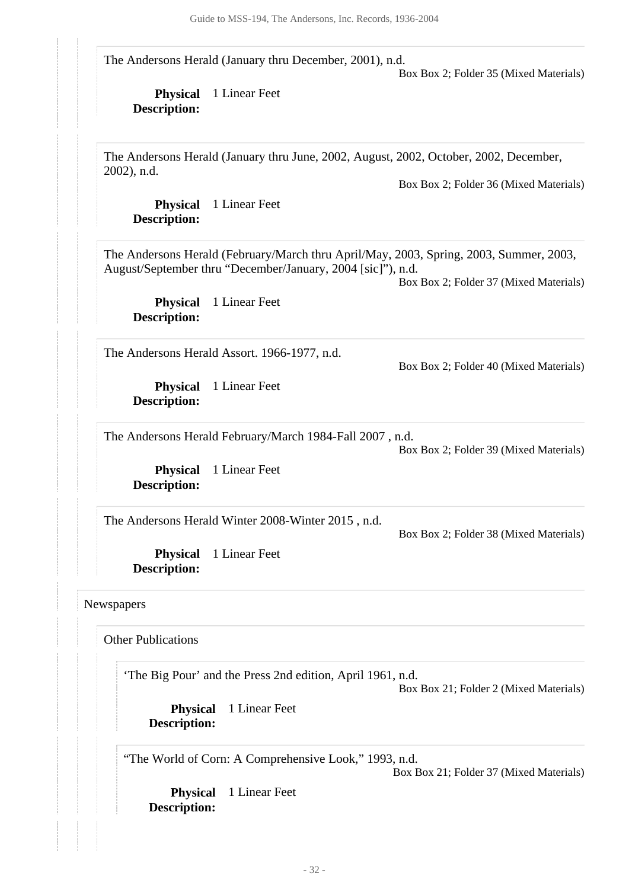The Andersons Herald (January thru December, 2001), n.d.

Box Box 2; Folder 35 (Mixed Materials)

**Physical** 1 Linear Feet **Description:**

The Andersons Herald (January thru June, 2002, August, 2002, October, 2002, December, 2002), n.d.

Box Box 2; Folder 36 (Mixed Materials)

**Physical** 1 Linear Feet **Description:**

The Andersons Herald (February/March thru April/May, 2003, Spring, 2003, Summer, 2003, August/September thru "December/January, 2004 [sic]"), n.d.

Box Box 2; Folder 37 (Mixed Materials)

Box Box 2; Folder 40 (Mixed Materials)

**Physical** 1 Linear Feet **Description:**

The Andersons Herald Assort. 1966-1977, n.d.

**Physical** 1 Linear Feet **Description:**

The Andersons Herald February/March 1984-Fall 2007 , n.d.

Box Box 2; Folder 39 (Mixed Materials)

**Physical** 1 Linear Feet **Description:**

The Andersons Herald Winter 2008-Winter 2015 , n.d.

Box Box 2; Folder 38 (Mixed Materials)

**Physical** 1 Linear Feet **Description:**

#### <span id="page-31-0"></span>Newspapers

Other Publications

'The Big Pour' and the Press 2nd edition, April 1961, n.d.

Box Box 21; Folder 2 (Mixed Materials)

**Physical** 1 Linear Feet **Description:**

"The World of Corn: A Comprehensive Look," 1993, n.d.

Box Box 21; Folder 37 (Mixed Materials)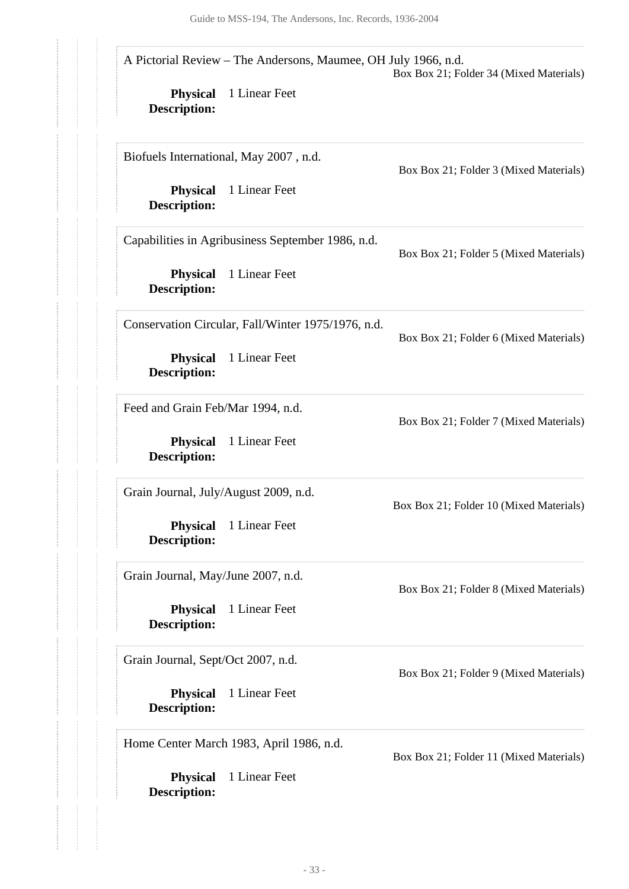|                                          | A Pictorial Review - The Andersons, Maumee, OH July 1966, n.d. | Box Box 21; Folder 34 (Mixed Materials) |
|------------------------------------------|----------------------------------------------------------------|-----------------------------------------|
| <b>Physical</b><br><b>Description:</b>   | 1 Linear Feet                                                  |                                         |
|                                          | Biofuels International, May 2007, n.d.                         | Box Box 21; Folder 3 (Mixed Materials)  |
| <b>Physical</b><br><b>Description:</b>   | 1 Linear Feet                                                  |                                         |
|                                          | Capabilities in Agribusiness September 1986, n.d.              | Box Box 21; Folder 5 (Mixed Materials)  |
| <b>Physical</b><br><b>Description:</b>   | 1 Linear Feet                                                  |                                         |
|                                          | Conservation Circular, Fall/Winter 1975/1976, n.d.             | Box Box 21; Folder 6 (Mixed Materials)  |
| <b>Physical</b><br><b>Description:</b>   | 1 Linear Feet                                                  |                                         |
| Feed and Grain Feb/Mar 1994, n.d.        |                                                                | Box Box 21; Folder 7 (Mixed Materials)  |
| <b>Physical</b><br><b>Description:</b>   | 1 Linear Feet                                                  |                                         |
| Grain Journal, July/August 2009, n.d.    |                                                                | Box Box 21; Folder 10 (Mixed Materials) |
| <b>Physical</b><br><b>Description:</b>   | 1 Linear Feet                                                  |                                         |
| Grain Journal, May/June 2007, n.d.       |                                                                | Box Box 21; Folder 8 (Mixed Materials)  |
| <b>Physical</b><br><b>Description:</b>   | 1 Linear Feet                                                  |                                         |
| Grain Journal, Sept/Oct 2007, n.d.       |                                                                | Box Box 21; Folder 9 (Mixed Materials)  |
| <b>Physical</b><br><b>Description:</b>   | 1 Linear Feet                                                  |                                         |
| Home Center March 1983, April 1986, n.d. |                                                                | Box Box 21; Folder 11 (Mixed Materials) |
| <b>Physical</b><br><b>Description:</b>   | 1 Linear Feet                                                  |                                         |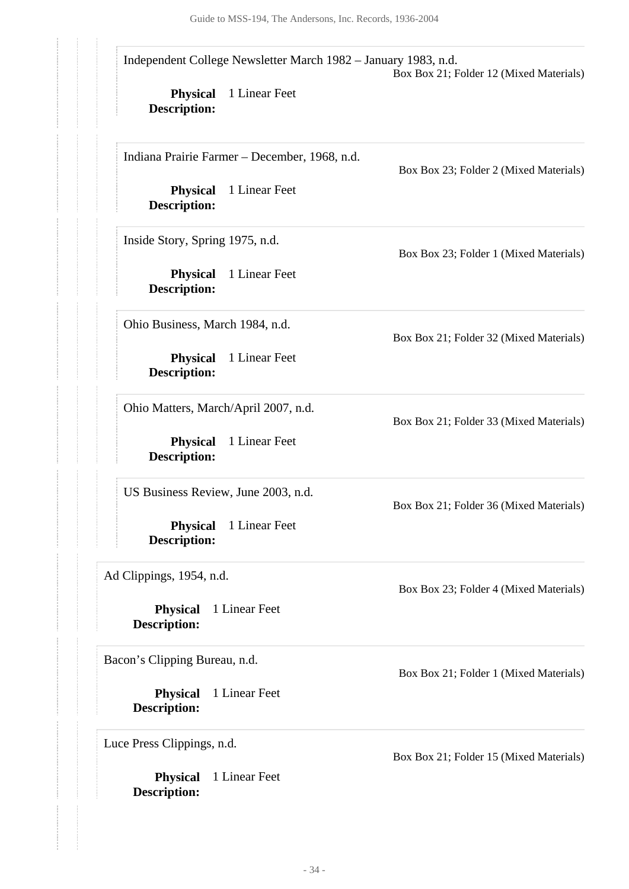**Physical** 1 Linear Feet **Description: Physical** 1 Linear Feet **Description: Physical** 1 Linear Feet **Description: Physical** 1 Linear Feet **Description: Physical** 1 Linear Feet **Description: Physical** 1 Linear Feet **Description: Physical** 1 Linear Feet **Description: Physical** 1 Linear Feet **Description: Physical** 1 Linear Feet **Description:** Independent College Newsletter March 1982 – January 1983, n.d. Box Box 21; Folder 12 (Mixed Materials) Indiana Prairie Farmer – December, 1968, n.d. Box Box 23; Folder 2 (Mixed Materials) Inside Story, Spring 1975, n.d. Box Box 23; Folder 1 (Mixed Materials) Ohio Business, March 1984, n.d. Box Box 21; Folder 32 (Mixed Materials) Ohio Matters, March/April 2007, n.d. Box Box 21; Folder 33 (Mixed Materials) US Business Review, June 2003, n.d. Box Box 21; Folder 36 (Mixed Materials) Ad Clippings, 1954, n.d. Box Box 23; Folder 4 (Mixed Materials) Bacon's Clipping Bureau, n.d. Box Box 21; Folder 1 (Mixed Materials) Luce Press Clippings, n.d. Box Box 21; Folder 15 (Mixed Materials)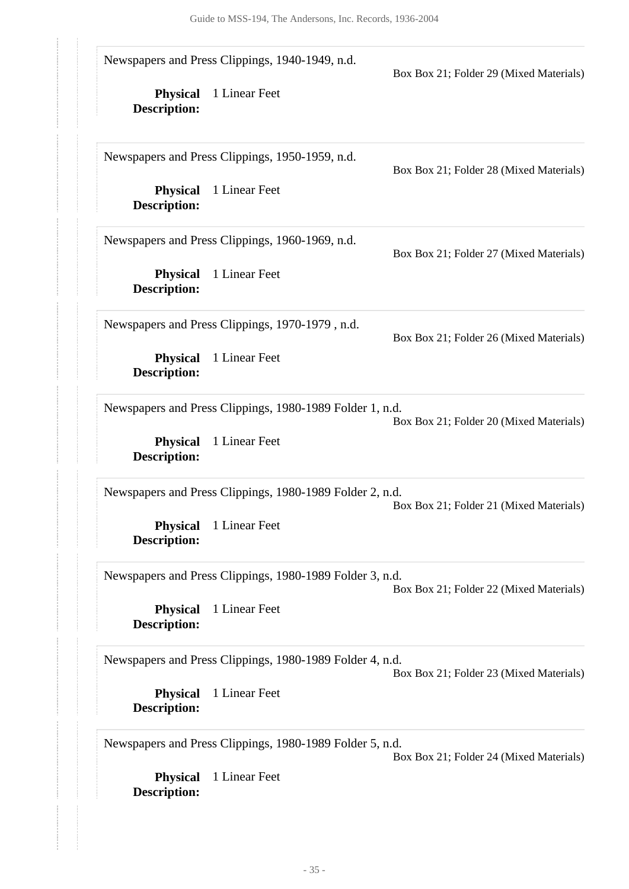**Physical** 1 Linear Feet **Description: Physical** 1 Linear Feet **Description: Physical** 1 Linear Feet **Description: Physical** 1 Linear Feet **Description: Physical** 1 Linear Feet **Description: Physical** 1 Linear Feet **Description: Physical** 1 Linear Feet **Description: Physical** 1 Linear Feet **Description: Physical** 1 Linear Feet **Description:** Newspapers and Press Clippings, 1940-1949, n.d. Box Box 21; Folder 29 (Mixed Materials) Newspapers and Press Clippings, 1950-1959, n.d. Box Box 21; Folder 28 (Mixed Materials) Newspapers and Press Clippings, 1960-1969, n.d. Box Box 21; Folder 27 (Mixed Materials) Newspapers and Press Clippings, 1970-1979 , n.d. Box Box 21; Folder 26 (Mixed Materials) Newspapers and Press Clippings, 1980-1989 Folder 1, n.d. Box Box 21; Folder 20 (Mixed Materials) Newspapers and Press Clippings, 1980-1989 Folder 2, n.d. Box Box 21; Folder 21 (Mixed Materials) Newspapers and Press Clippings, 1980-1989 Folder 3, n.d. Box Box 21; Folder 22 (Mixed Materials) Newspapers and Press Clippings, 1980-1989 Folder 4, n.d. Box Box 21; Folder 23 (Mixed Materials) Newspapers and Press Clippings, 1980-1989 Folder 5, n.d. Box Box 21; Folder 24 (Mixed Materials)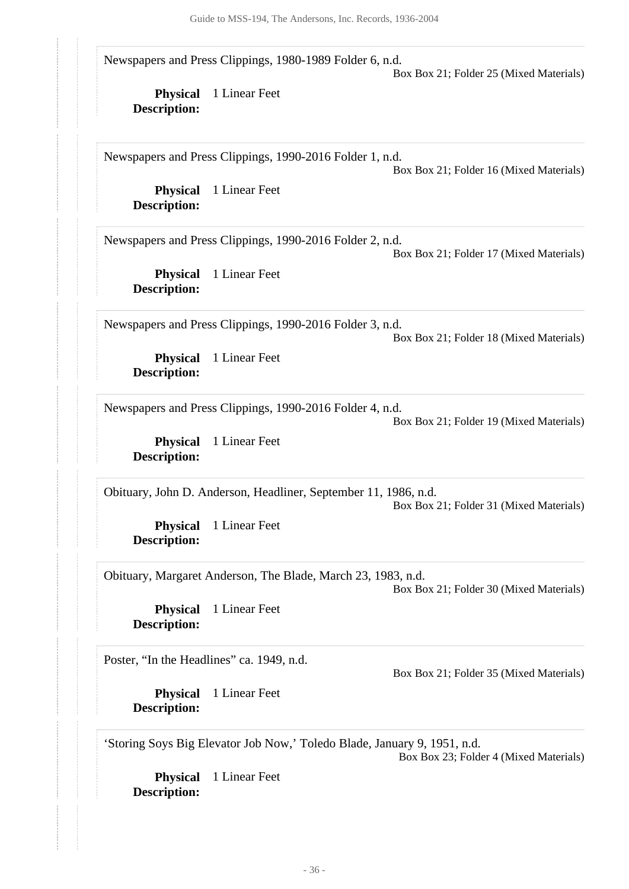Newspapers and Press Clippings, 1980-1989 Folder 6, n.d.

Box Box 21; Folder 25 (Mixed Materials)

**Physical** 1 Linear Feet **Description:**

Newspapers and Press Clippings, 1990-2016 Folder 1, n.d.

Box Box 21; Folder 16 (Mixed Materials)

**Physical** 1 Linear Feet **Description:**

Newspapers and Press Clippings, 1990-2016 Folder 2, n.d.

Box Box 21; Folder 17 (Mixed Materials)

**Physical** 1 Linear Feet **Description:**

Newspapers and Press Clippings, 1990-2016 Folder 3, n.d.

Box Box 21; Folder 18 (Mixed Materials)

**Physical** 1 Linear Feet **Description:**

Newspapers and Press Clippings, 1990-2016 Folder 4, n.d.

Box Box 21; Folder 19 (Mixed Materials)

**Physical** 1 Linear Feet **Description:**

Obituary, John D. Anderson, Headliner, September 11, 1986, n.d. Box Box 21; Folder 31 (Mixed Materials)

**Physical** 1 Linear Feet **Description:**

Obituary, Margaret Anderson, The Blade, March 23, 1983, n.d.

Box Box 21; Folder 30 (Mixed Materials)

**Physical** 1 Linear Feet **Description:**

Poster, "In the Headlines" ca. 1949, n.d.

Box Box 21; Folder 35 (Mixed Materials)

**Physical** 1 Linear Feet **Description:**

'Storing Soys Big Elevator Job Now,' Toledo Blade, January 9, 1951, n.d.

Box Box 23; Folder 4 (Mixed Materials)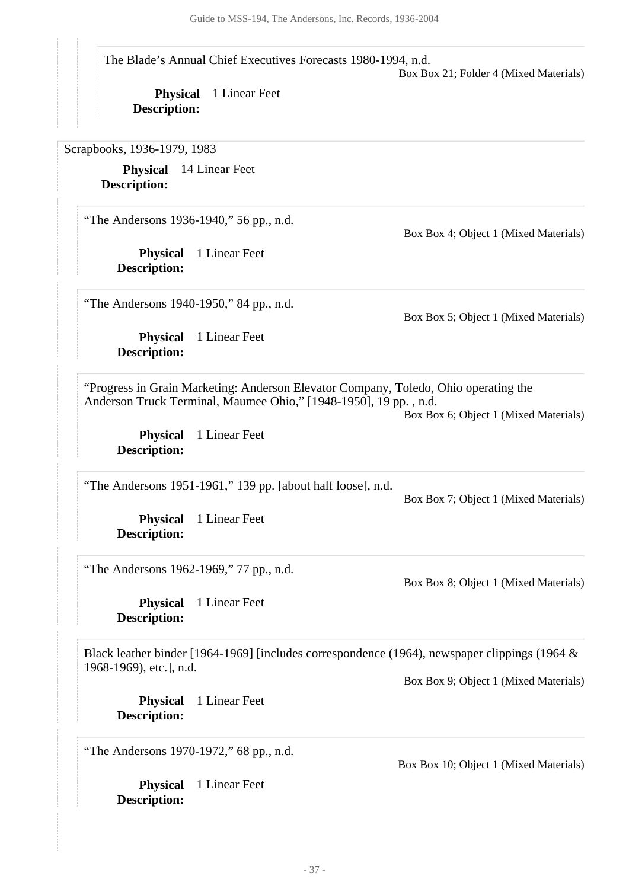The Blade's Annual Chief Executives Forecasts 1980-1994, n.d.

Box Box 21; Folder 4 (Mixed Materials)

**Physical** 1 Linear Feet **Description:**

<span id="page-36-0"></span>Scrapbooks, 1936-1979, 1983

**Physical** 14 Linear Feet **Description:**

"The Andersons 1936-1940," 56 pp., n.d.

**Physical** 1 Linear Feet **Description:**

Box Box 4; Object 1 (Mixed Materials)

"The Andersons 1940-1950," 84 pp., n.d.

**Physical** 1 Linear Feet **Description:**

Box Box 5; Object 1 (Mixed Materials)

"Progress in Grain Marketing: Anderson Elevator Company, Toledo, Ohio operating the Anderson Truck Terminal, Maumee Ohio," [1948-1950], 19 pp. , n.d.

Box Box 6; Object 1 (Mixed Materials)

**Physical** 1 Linear Feet **Description:**

"The Andersons 1951-1961," 139 pp. [about half loose], n.d.

Box Box 7; Object 1 (Mixed Materials)

Box Box 8; Object 1 (Mixed Materials)

**Physical** 1 Linear Feet **Description:**

"The Andersons 1962-1969," 77 pp., n.d.

**Physical** 1 Linear Feet **Description:**

Black leather binder [1964-1969] [includes correspondence (1964), newspaper clippings (1964 & 1968-1969), etc.], n.d.

Box Box 9; Object 1 (Mixed Materials)

**Physical** 1 Linear Feet **Description:**

"The Andersons 1970-1972," 68 pp., n.d.

**Physical** 1 Linear Feet **Description:**

Box Box 10; Object 1 (Mixed Materials)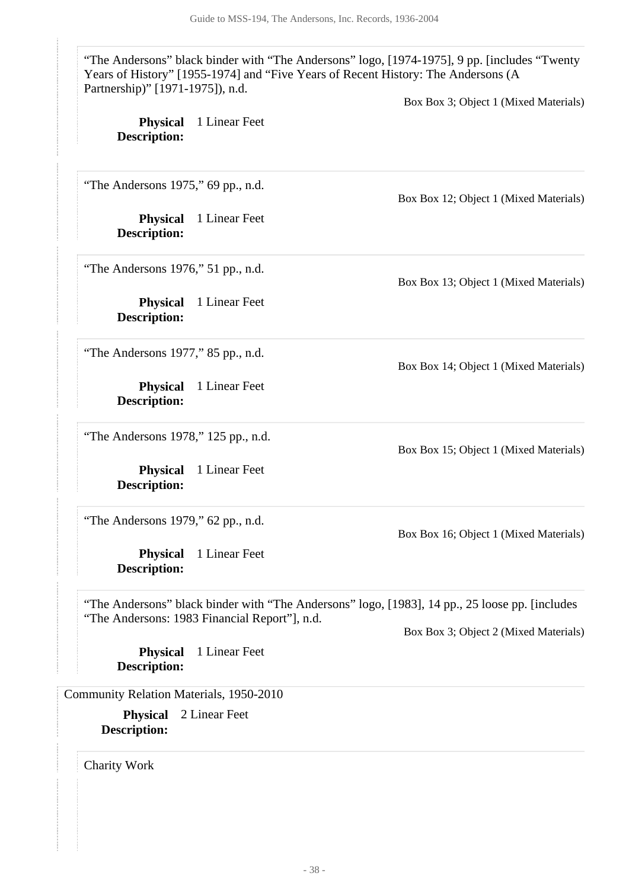"The Andersons" black binder with "The Andersons" logo, [1974-1975], 9 pp. [includes "Twenty Years of History" [1955-1974] and "Five Years of Recent History: The Andersons (A Partnership)" [1971-1975]), n.d.

Box Box 3; Object 1 (Mixed Materials)

| <b>Physical</b><br><b>Description:</b>  | 1 Linear Feet                                 |                                                                                                 |
|-----------------------------------------|-----------------------------------------------|-------------------------------------------------------------------------------------------------|
| "The Andersons 1975," 69 pp., n.d.      |                                               | Box Box 12; Object 1 (Mixed Materials)                                                          |
| <b>Physical</b><br><b>Description:</b>  | 1 Linear Feet                                 |                                                                                                 |
| "The Andersons $1976$ ," 51 pp., n.d.   |                                               | Box Box 13; Object 1 (Mixed Materials)                                                          |
| <b>Physical</b><br><b>Description:</b>  | 1 Linear Feet                                 |                                                                                                 |
| "The Andersons 1977," 85 pp., n.d.      |                                               | Box Box 14; Object 1 (Mixed Materials)                                                          |
| <b>Physical</b><br><b>Description:</b>  | 1 Linear Feet                                 |                                                                                                 |
| "The Andersons 1978," 125 pp., n.d.     |                                               | Box Box 15; Object 1 (Mixed Materials)                                                          |
| <b>Physical</b><br><b>Description:</b>  | 1 Linear Feet                                 |                                                                                                 |
| "The Andersons 1979," 62 pp., n.d.      |                                               | Box Box 16; Object 1 (Mixed Materials)                                                          |
| <b>Physical</b><br><b>Description:</b>  | 1 Linear Feet                                 |                                                                                                 |
|                                         | "The Andersons: 1983 Financial Report"], n.d. | "The Andersons" black binder with "The Andersons" logo, [1983], 14 pp., 25 loose pp. [includes] |
| <b>Physical</b><br><b>Description:</b>  | 1 Linear Feet                                 | Box Box 3; Object 2 (Mixed Materials)                                                           |
| Community Relation Materials, 1950-2010 |                                               |                                                                                                 |
| <b>Physical</b><br><b>Description:</b>  | 2 Linear Feet                                 |                                                                                                 |

<span id="page-37-1"></span><span id="page-37-0"></span>Charity Work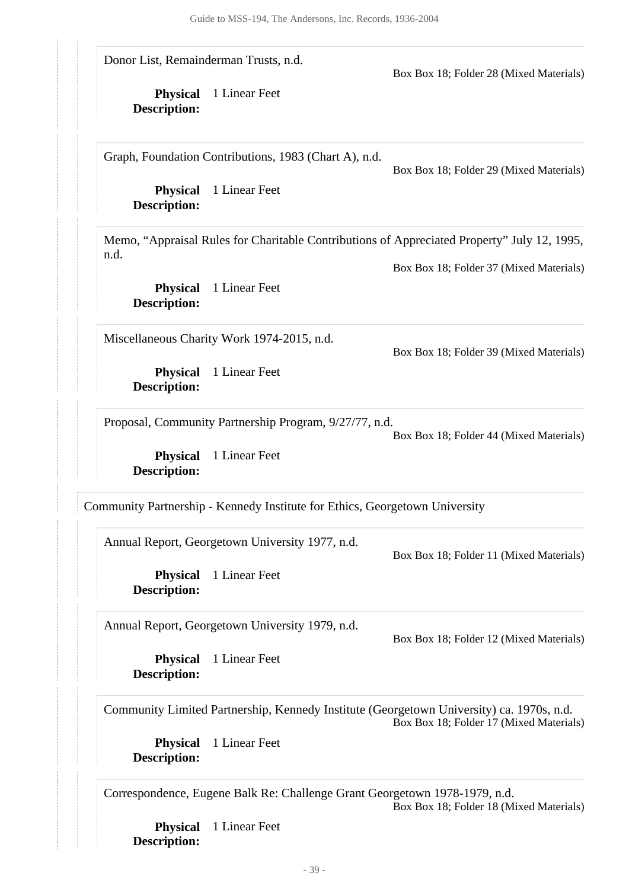Donor List, Remainderman Trusts, n.d.

Box Box 18; Folder 28 (Mixed Materials)

**Physical** 1 Linear Feet **Description:**

Graph, Foundation Contributions, 1983 (Chart A), n.d.

Box Box 18; Folder 29 (Mixed Materials)

**Physical** 1 Linear Feet **Description:**

Memo, "Appraisal Rules for Charitable Contributions of Appreciated Property" July 12, 1995, n.d.

Box Box 18; Folder 37 (Mixed Materials)

**Physical** 1 Linear Feet **Description:**

Miscellaneous Charity Work 1974-2015, n.d.

Box Box 18; Folder 39 (Mixed Materials)

**Physical** 1 Linear Feet **Description:**

Proposal, Community Partnership Program, 9/27/77, n.d.

Box Box 18; Folder 44 (Mixed Materials)

**Physical** 1 Linear Feet **Description:**

<span id="page-38-0"></span>Community Partnership - Kennedy Institute for Ethics, Georgetown University

Annual Report, Georgetown University 1977, n.d.

Box Box 18; Folder 11 (Mixed Materials)

**Physical** 1 Linear Feet **Description:**

Annual Report, Georgetown University 1979, n.d.

**Physical** 1 Linear Feet **Description:**

Box Box 18; Folder 12 (Mixed Materials)

Community Limited Partnership, Kennedy Institute (Georgetown University) ca. 1970s, n.d. Box Box 18; Folder 17 (Mixed Materials)

**Physical** 1 Linear Feet **Description:**

Correspondence, Eugene Balk Re: Challenge Grant Georgetown 1978-1979, n.d. Box Box 18; Folder 18 (Mixed Materials)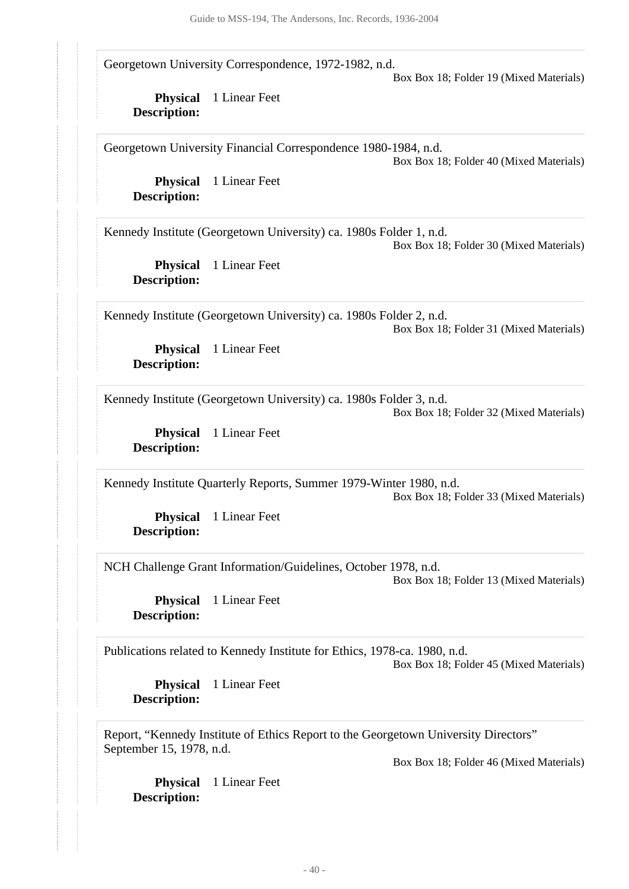Georgetown University Correspondence, 1972-1982, n.d.

Box Box 18; Folder 19 (Mixed Materials)

**Physical** 1 Linear Feet **Description:**

Georgetown University Financial Correspondence 1980-1984, n.d. Box Box 18; Folder 40 (Mixed Materials)

**Physical** 1 Linear Feet **Description:**

Kennedy Institute (Georgetown University) ca. 1980s Folder 1, n.d. Box Box 18; Folder 30 (Mixed Materials)

**Physical** 1 Linear Feet **Description:**

Kennedy Institute (Georgetown University) ca. 1980s Folder 2, n.d. Box Box 18; Folder 31 (Mixed Materials)

**Physical** 1 Linear Feet **Description:**

Kennedy Institute (Georgetown University) ca. 1980s Folder 3, n.d.

Box Box 18; Folder 32 (Mixed Materials)

**Physical** 1 Linear Feet **Description:**

Kennedy Institute Quarterly Reports, Summer 1979-Winter 1980, n.d. Box Box 18; Folder 33 (Mixed Materials)

**Physical** 1 Linear Feet **Description:**

NCH Challenge Grant Information/Guidelines, October 1978, n.d.

Box Box 18; Folder 13 (Mixed Materials)

**Physical** 1 Linear Feet **Description:**

Publications related to Kennedy Institute for Ethics, 1978-ca. 1980, n.d.

Box Box 18; Folder 45 (Mixed Materials)

**Physical** 1 Linear Feet **Description:**

Report, "Kennedy Institute of Ethics Report to the Georgetown University Directors" September 15, 1978, n.d.

Box Box 18; Folder 46 (Mixed Materials)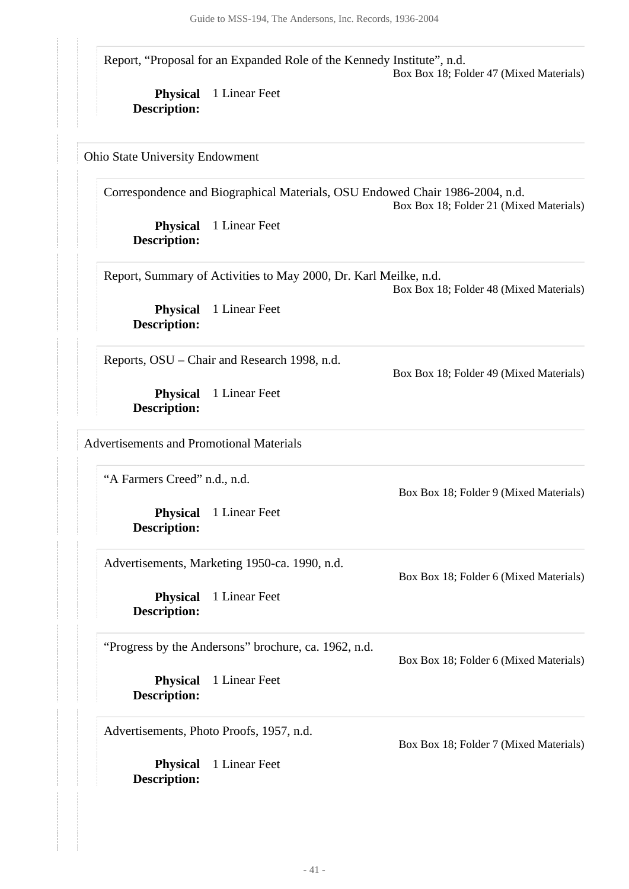Report, "Proposal for an Expanded Role of the Kennedy Institute", n.d. Box Box 18; Folder 47 (Mixed Materials)

**Physical** 1 Linear Feet **Description:**

<span id="page-40-0"></span>Ohio State University Endowment

Correspondence and Biographical Materials, OSU Endowed Chair 1986-2004, n.d. Box Box 18; Folder 21 (Mixed Materials)

**Physical** 1 Linear Feet **Description:**

Report, Summary of Activities to May 2000, Dr. Karl Meilke, n.d. Box Box 18; Folder 48 (Mixed Materials)

**Physical** 1 Linear Feet **Description:**

Reports, OSU – Chair and Research 1998, n.d.

**Physical** 1 Linear Feet **Description:**

<span id="page-40-1"></span>Advertisements and Promotional Materials

"A Farmers Creed" n.d., n.d.

**Physical** 1 Linear Feet **Description:**

Advertisements, Marketing 1950-ca. 1990, n.d.

**Physical** 1 Linear Feet **Description:**

"Progress by the Andersons" brochure, ca. 1962, n.d.

**Physical** 1 Linear Feet **Description:**

Advertisements, Photo Proofs, 1957, n.d.

**Physical** 1 Linear Feet **Description:**

Box Box 18; Folder 6 (Mixed Materials)

Box Box 18; Folder 49 (Mixed Materials)

Box Box 18; Folder 9 (Mixed Materials)

Box Box 18; Folder 6 (Mixed Materials)

Box Box 18; Folder 7 (Mixed Materials)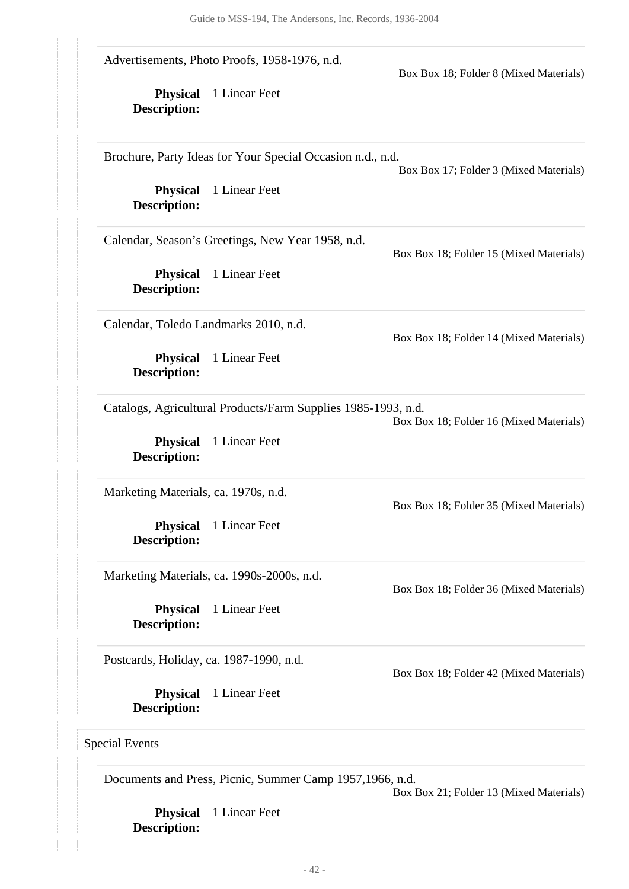**Physical** 1 Linear Feet **Description: Physical** 1 Linear Feet **Description: Physical** 1 Linear Feet **Description: Physical** 1 Linear Feet **Description: Physical** 1 Linear Feet **Description: Physical** 1 Linear Feet **Description: Physical** 1 Linear Feet **Description: Physical** 1 Linear Feet **Description:** Advertisements, Photo Proofs, 1958-1976, n.d. Box Box 18; Folder 8 (Mixed Materials) Brochure, Party Ideas for Your Special Occasion n.d., n.d. Box Box 17; Folder 3 (Mixed Materials) Calendar, Season's Greetings, New Year 1958, n.d. Box Box 18; Folder 15 (Mixed Materials) Calendar, Toledo Landmarks 2010, n.d. Box Box 18; Folder 14 (Mixed Materials) Catalogs, Agricultural Products/Farm Supplies 1985-1993, n.d. Box Box 18; Folder 16 (Mixed Materials) Marketing Materials, ca. 1970s, n.d. Box Box 18; Folder 35 (Mixed Materials) Marketing Materials, ca. 1990s-2000s, n.d. Box Box 18; Folder 36 (Mixed Materials) Postcards, Holiday, ca. 1987-1990, n.d. Box Box 18; Folder 42 (Mixed Materials) Special Events

<span id="page-41-0"></span>Documents and Press, Picnic, Summer Camp 1957,1966, n.d.

Box Box 21; Folder 13 (Mixed Materials)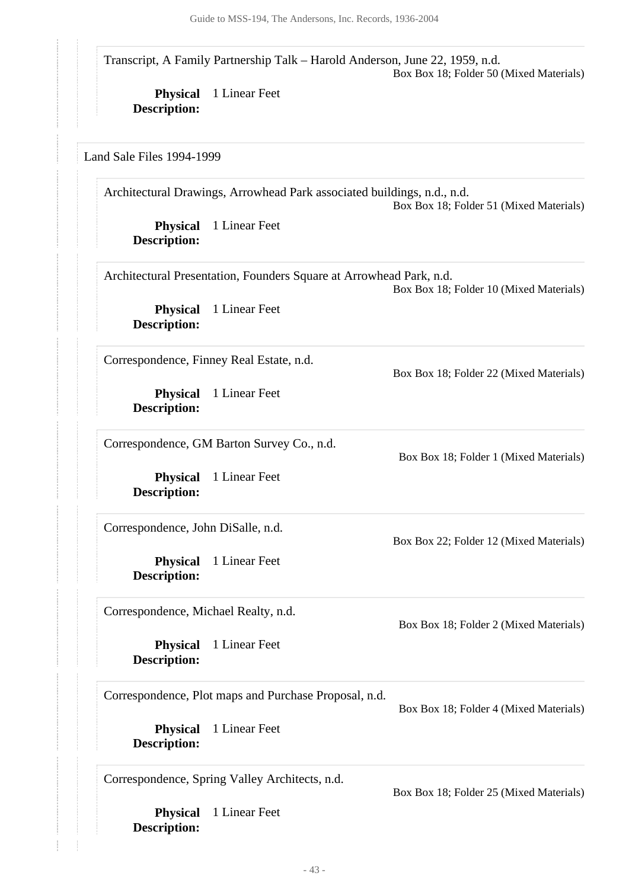Transcript, A Family Partnership Talk – Harold Anderson, June 22, 1959, n.d. Box Box 18; Folder 50 (Mixed Materials)

**Physical** 1 Linear Feet **Description:**

<span id="page-42-0"></span>Land Sale Files 1994-1999

**Physical** 1 Linear Feet **Description: Physical** 1 Linear Feet **Description: Physical** 1 Linear Feet **Description: Physical** 1 Linear Feet **Description: Physical** 1 Linear Feet **Description: Physical** 1 Linear Feet **Description: Physical** 1 Linear Feet **Description: Physical** 1 Linear Feet **Description:** Architectural Drawings, Arrowhead Park associated buildings, n.d., n.d. Box Box 18; Folder 51 (Mixed Materials) Architectural Presentation, Founders Square at Arrowhead Park, n.d. Box Box 18; Folder 10 (Mixed Materials) Correspondence, Finney Real Estate, n.d. Box Box 18; Folder 22 (Mixed Materials) Correspondence, GM Barton Survey Co., n.d. Box Box 18; Folder 1 (Mixed Materials) Correspondence, John DiSalle, n.d. Box Box 22; Folder 12 (Mixed Materials) Correspondence, Michael Realty, n.d. Box Box 18; Folder 2 (Mixed Materials) Correspondence, Plot maps and Purchase Proposal, n.d. Box Box 18; Folder 4 (Mixed Materials) Correspondence, Spring Valley Architects, n.d. Box Box 18; Folder 25 (Mixed Materials)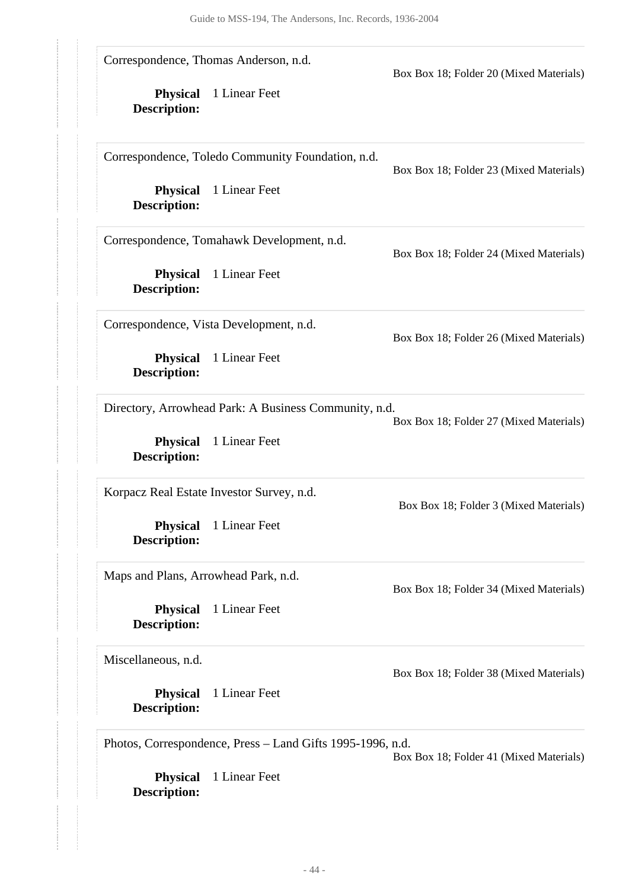|                                        | Correspondence, Thomas Anderson, n.d.                      | Box Box 18; Folder 20 (Mixed Materials) |  |
|----------------------------------------|------------------------------------------------------------|-----------------------------------------|--|
| <b>Physical</b><br><b>Description:</b> | 1 Linear Feet                                              |                                         |  |
|                                        | Correspondence, Toledo Community Foundation, n.d.          | Box Box 18; Folder 23 (Mixed Materials) |  |
| <b>Physical</b><br><b>Description:</b> | 1 Linear Feet                                              |                                         |  |
|                                        | Correspondence, Tomahawk Development, n.d.                 | Box Box 18; Folder 24 (Mixed Materials) |  |
| <b>Physical</b><br><b>Description:</b> | 1 Linear Feet                                              |                                         |  |
|                                        | Correspondence, Vista Development, n.d.                    | Box Box 18; Folder 26 (Mixed Materials) |  |
| <b>Physical</b><br><b>Description:</b> | 1 Linear Feet                                              |                                         |  |
|                                        | Directory, Arrowhead Park: A Business Community, n.d.      | Box Box 18; Folder 27 (Mixed Materials) |  |
| <b>Physical</b><br><b>Description:</b> | 1 Linear Feet                                              |                                         |  |
|                                        | Korpacz Real Estate Investor Survey, n.d.                  | Box Box 18; Folder 3 (Mixed Materials)  |  |
| <b>Physical</b><br><b>Description:</b> | 1 Linear Feet                                              |                                         |  |
| Maps and Plans, Arrowhead Park, n.d.   |                                                            | Box Box 18; Folder 34 (Mixed Materials) |  |
| <b>Physical</b><br><b>Description:</b> | 1 Linear Feet                                              |                                         |  |
| Miscellaneous, n.d.                    |                                                            | Box Box 18; Folder 38 (Mixed Materials) |  |
| <b>Physical</b><br><b>Description:</b> | 1 Linear Feet                                              |                                         |  |
|                                        | Photos, Correspondence, Press - Land Gifts 1995-1996, n.d. | Box Box 18; Folder 41 (Mixed Materials) |  |
| <b>Physical</b><br><b>Description:</b> | 1 Linear Feet                                              |                                         |  |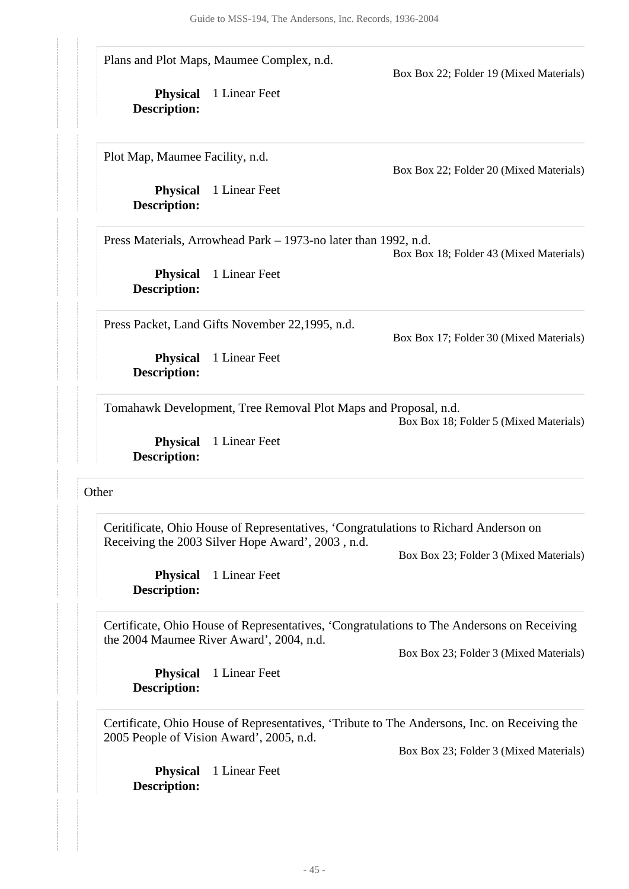Plans and Plot Maps, Maumee Complex, n.d.

Box Box 22; Folder 19 (Mixed Materials)

**Physical** 1 Linear Feet **Description:**

Plot Map, Maumee Facility, n.d.

**Physical** 1 Linear Feet **Description:**

Box Box 22; Folder 20 (Mixed Materials)

Press Materials, Arrowhead Park – 1973-no later than 1992, n.d.

Box Box 18; Folder 43 (Mixed Materials)

**Physical** 1 Linear Feet **Description:**

Press Packet, Land Gifts November 22,1995, n.d.

Box Box 17; Folder 30 (Mixed Materials)

**Physical** 1 Linear Feet **Description:**

Tomahawk Development, Tree Removal Plot Maps and Proposal, n.d.

Box Box 18; Folder 5 (Mixed Materials)

**Physical** 1 Linear Feet **Description:**

#### <span id="page-44-0"></span>**Other**

Ceritificate, Ohio House of Representatives, 'Congratulations to Richard Anderson on Receiving the 2003 Silver Hope Award', 2003 , n.d.

Box Box 23; Folder 3 (Mixed Materials)

**Physical** 1 Linear Feet **Description:**

Certificate, Ohio House of Representatives, 'Congratulations to The Andersons on Receiving the 2004 Maumee River Award', 2004, n.d.

Box Box 23; Folder 3 (Mixed Materials)

**Physical** 1 Linear Feet **Description:**

Certificate, Ohio House of Representatives, 'Tribute to The Andersons, Inc. on Receiving the 2005 People of Vision Award', 2005, n.d.

Box Box 23; Folder 3 (Mixed Materials)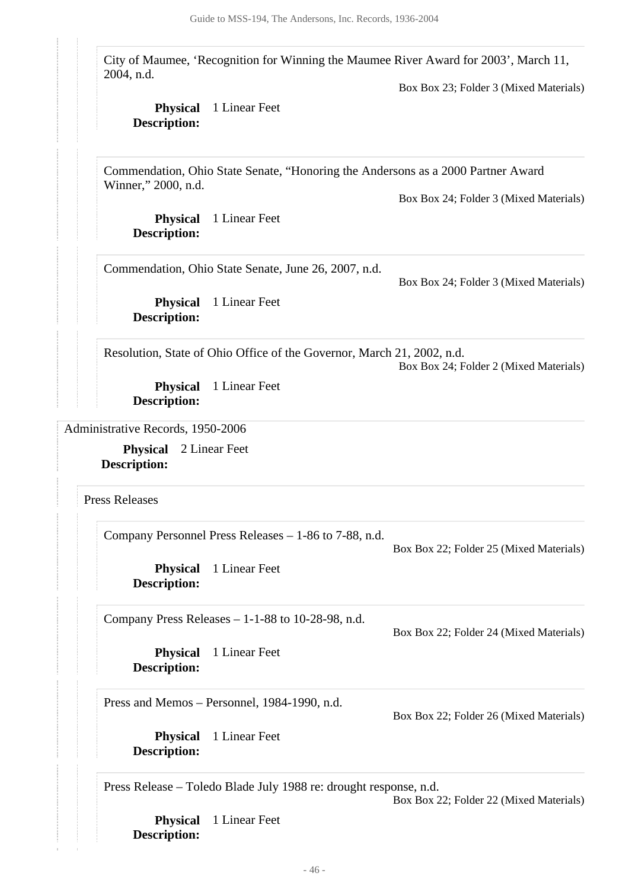City of Maumee, 'Recognition for Winning the Maumee River Award for 2003', March 11, 2004, n.d.

Box Box 23; Folder 3 (Mixed Materials)

### **Physical** 1 Linear Feet **Description:**

Commendation, Ohio State Senate, "Honoring the Andersons as a 2000 Partner Award Winner," 2000, n.d.

Box Box 24; Folder 3 (Mixed Materials)

**Physical** 1 Linear Feet **Description:**

Commendation, Ohio State Senate, June 26, 2007, n.d.

Box Box 24; Folder 3 (Mixed Materials)

**Physical** 1 Linear Feet **Description:**

Resolution, State of Ohio Office of the Governor, March 21, 2002, n.d. Box Box 24; Folder 2 (Mixed Materials)

**Physical** 1 Linear Feet **Description:**

<span id="page-45-0"></span>Administrative Records, 1950-2006

**Physical** 2 Linear Feet **Description:**

<span id="page-45-1"></span>Press Releases

Company Personnel Press Releases – 1-86 to 7-88, n.d.

Box Box 22; Folder 25 (Mixed Materials)

**Physical** 1 Linear Feet **Description:**

Company Press Releases – 1-1-88 to 10-28-98, n.d.

Box Box 22; Folder 24 (Mixed Materials)

**Physical** 1 Linear Feet **Description:**

Press and Memos – Personnel, 1984-1990, n.d.

Box Box 22; Folder 26 (Mixed Materials)

**Physical** 1 Linear Feet **Description:**

Press Release – Toledo Blade July 1988 re: drought response, n.d.

Box Box 22; Folder 22 (Mixed Materials)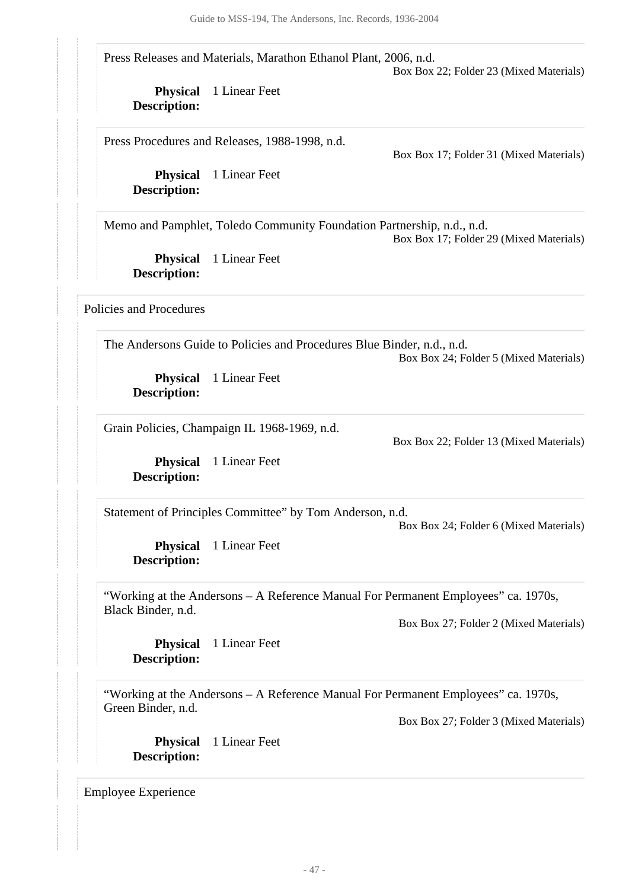Press Releases and Materials, Marathon Ethanol Plant, 2006, n.d.

Box Box 22; Folder 23 (Mixed Materials)

**Physical** 1 Linear Feet **Description:**

Press Procedures and Releases, 1988-1998, n.d.

Box Box 17; Folder 31 (Mixed Materials)

**Physical** 1 Linear Feet **Description:**

Memo and Pamphlet, Toledo Community Foundation Partnership, n.d., n.d.

Box Box 17; Folder 29 (Mixed Materials)

**Physical** 1 Linear Feet **Description:**

<span id="page-46-0"></span>Policies and Procedures

The Andersons Guide to Policies and Procedures Blue Binder, n.d., n.d. Box Box 24; Folder 5 (Mixed Materials)

**Physical** 1 Linear Feet **Description:**

Grain Policies, Champaign IL 1968-1969, n.d.

Box Box 22; Folder 13 (Mixed Materials)

**Physical** 1 Linear Feet **Description:**

Statement of Principles Committee" by Tom Anderson, n.d.

Box Box 24; Folder 6 (Mixed Materials)

**Physical** 1 Linear Feet **Description:**

"Working at the Andersons – A Reference Manual For Permanent Employees" ca. 1970s, Black Binder, n.d.

Box Box 27; Folder 2 (Mixed Materials)

**Physical** 1 Linear Feet **Description:**

"Working at the Andersons – A Reference Manual For Permanent Employees" ca. 1970s, Green Binder, n.d.

Box Box 27; Folder 3 (Mixed Materials)

**Physical** 1 Linear Feet **Description:**

<span id="page-46-1"></span>Employee Experience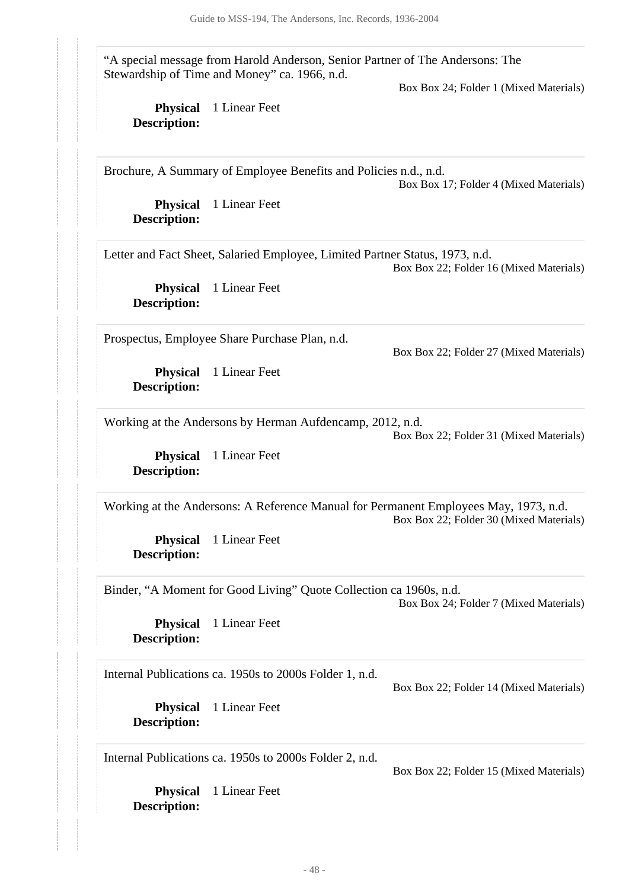"A special message from Harold Anderson, Senior Partner of The Andersons: The Stewardship of Time and Money" ca. 1966, n.d.

Box Box 24; Folder 1 (Mixed Materials)

**Physical** 1 Linear Feet **Description:**

Brochure, A Summary of Employee Benefits and Policies n.d., n.d. Box Box 17; Folder 4 (Mixed Materials)

**Physical** 1 Linear Feet **Description:**

Letter and Fact Sheet, Salaried Employee, Limited Partner Status, 1973, n.d. Box Box 22; Folder 16 (Mixed Materials)

**Physical** 1 Linear Feet **Description:**

Prospectus, Employee Share Purchase Plan, n.d.

Box Box 22; Folder 27 (Mixed Materials)

**Physical** 1 Linear Feet **Description:**

Working at the Andersons by Herman Aufdencamp, 2012, n.d. Box Box 22; Folder 31 (Mixed Materials)

**Physical** 1 Linear Feet **Description:**

Working at the Andersons: A Reference Manual for Permanent Employees May, 1973, n.d. Box Box 22; Folder 30 (Mixed Materials)

**Physical** 1 Linear Feet **Description:**

Binder, "A Moment for Good Living" Quote Collection ca 1960s, n.d. Box Box 24; Folder 7 (Mixed Materials)

**Physical** 1 Linear Feet **Description:**

Internal Publications ca. 1950s to 2000s Folder 1, n.d.

Box Box 22; Folder 14 (Mixed Materials)

Box Box 22; Folder 15 (Mixed Materials)

**Physical** 1 Linear Feet **Description:**

Internal Publications ca. 1950s to 2000s Folder 2, n.d.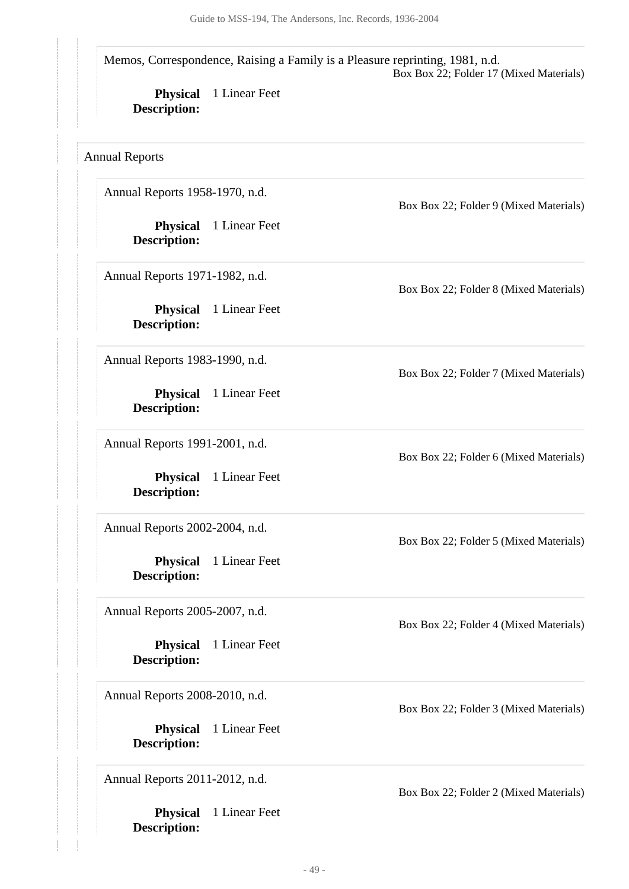Memos, Correspondence, Raising a Family is a Pleasure reprinting, 1981, n.d. Box Box 22; Folder 17 (Mixed Materials)

**Physical** 1 Linear Feet **Description:**

<span id="page-48-0"></span>Annual Reports

Annual Reports 1958-1970, n.d.

**Physical** 1 Linear Feet **Description:**

Annual Reports 1971-1982, n.d.

**Physical** 1 Linear Feet **Description:**

Annual Reports 1983-1990, n.d.

**Physical** 1 Linear Feet **Description:**

Annual Reports 1991-2001, n.d.

**Physical** 1 Linear Feet **Description:**

Annual Reports 2002-2004, n.d.

**Physical** 1 Linear Feet **Description:**

Annual Reports 2005-2007, n.d.

**Physical** 1 Linear Feet **Description:**

Annual Reports 2008-2010, n.d.

**Physical** 1 Linear Feet **Description:**

Annual Reports 2011-2012, n.d.

**Physical** 1 Linear Feet **Description:**

Box Box 22; Folder 9 (Mixed Materials)

Box Box 22; Folder 8 (Mixed Materials)

Box Box 22; Folder 7 (Mixed Materials)

Box Box 22; Folder 6 (Mixed Materials)

Box Box 22; Folder 5 (Mixed Materials)

Box Box 22; Folder 4 (Mixed Materials)

Box Box 22; Folder 3 (Mixed Materials)

Box Box 22; Folder 2 (Mixed Materials)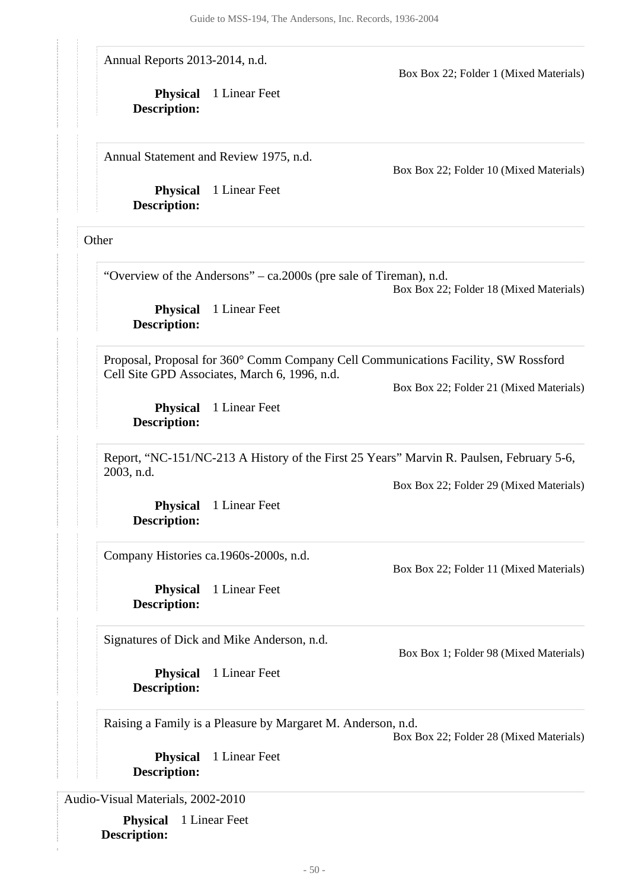Annual Reports 2013-2014, n.d.

Box Box 22; Folder 1 (Mixed Materials)

**Physical** 1 Linear Feet **Description:**

Annual Statement and Review 1975, n.d.

**Physical** 1 Linear Feet **Description:**

Box Box 22; Folder 10 (Mixed Materials)

<span id="page-49-0"></span>**Other** 

"Overview of the Andersons" – ca.2000s (pre sale of Tireman), n.d.

Box Box 22; Folder 18 (Mixed Materials)

**Physical** 1 Linear Feet **Description:**

Proposal, Proposal for 360° Comm Company Cell Communications Facility, SW Rossford Cell Site GPD Associates, March 6, 1996, n.d.

Box Box 22; Folder 21 (Mixed Materials)

**Physical** 1 Linear Feet **Description:**

Report, "NC-151/NC-213 A History of the First 25 Years" Marvin R. Paulsen, February 5-6, 2003, n.d.

Box Box 22; Folder 29 (Mixed Materials)

Box Box 22; Folder 11 (Mixed Materials)

Box Box 1; Folder 98 (Mixed Materials)

**Physical** 1 Linear Feet **Description:**

Company Histories ca.1960s-2000s, n.d.

**Physical** 1 Linear Feet **Description:**

Signatures of Dick and Mike Anderson, n.d.

**Physical** 1 Linear Feet **Description:**

Raising a Family is a Pleasure by Margaret M. Anderson, n.d.

Box Box 22; Folder 28 (Mixed Materials)

**Physical** 1 Linear Feet **Description:**

<span id="page-49-1"></span>Audio-Visual Materials, 2002-2010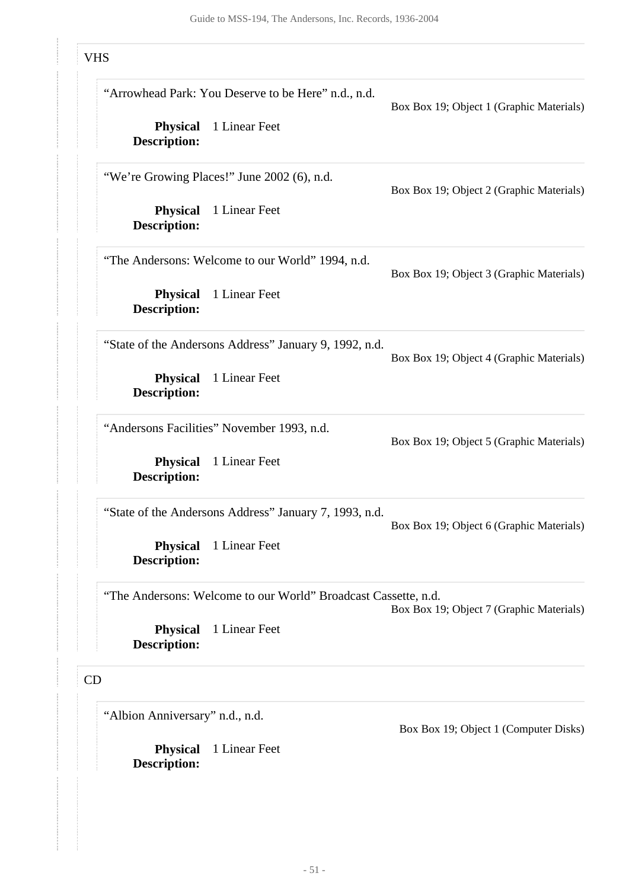# VHS

<span id="page-50-0"></span>

| "Arrowhead Park: You Deserve to be Here" n.d., n.d.            | Box Box 19; Object 1 (Graphic Materials) |
|----------------------------------------------------------------|------------------------------------------|
| 1 Linear Feet                                                  |                                          |
| "We're Growing Places!" June 2002 (6), n.d.                    | Box Box 19; Object 2 (Graphic Materials) |
| 1 Linear Feet                                                  |                                          |
| "The Andersons: Welcome to our World" 1994, n.d.               | Box Box 19; Object 3 (Graphic Materials) |
| 1 Linear Feet                                                  |                                          |
| "State of the Andersons Address" January 9, 1992, n.d.         | Box Box 19; Object 4 (Graphic Materials) |
| 1 Linear Feet                                                  |                                          |
| "Andersons Facilities" November 1993, n.d.                     | Box Box 19; Object 5 (Graphic Materials) |
| 1 Linear Feet                                                  |                                          |
| "State of the Andersons Address" January 7, 1993, n.d.         | Box Box 19; Object 6 (Graphic Materials) |
| 1 Linear Feet                                                  |                                          |
| "The Andersons: Welcome to our World" Broadcast Cassette, n.d. | Box Box 19; Object 7 (Graphic Materials) |
| 1 Linear Feet                                                  |                                          |
|                                                                |                                          |
| "Albion Anniversary" n.d., n.d.                                |                                          |
|                                                                |                                          |

**Physical** 1 Linear Feet

<span id="page-50-1"></span>**Description:**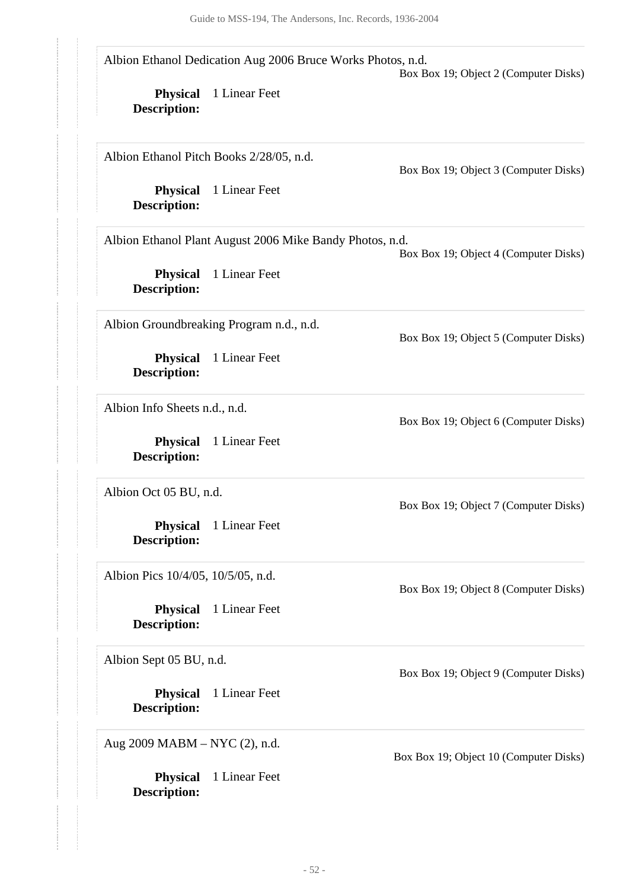**Physical** 1 Linear Feet **Description: Physical** 1 Linear Feet **Description: Physical** 1 Linear Feet **Description: Physical** 1 Linear Feet **Description: Physical** 1 Linear Feet **Description: Physical** 1 Linear Feet **Description: Physical** 1 Linear Feet **Description: Physical** 1 Linear Feet **Description: Physical** 1 Linear Feet **Description:** Albion Ethanol Dedication Aug 2006 Bruce Works Photos, n.d. Box Box 19; Object 2 (Computer Disks) Albion Ethanol Pitch Books 2/28/05, n.d. Box Box 19; Object 3 (Computer Disks) Albion Ethanol Plant August 2006 Mike Bandy Photos, n.d. Box Box 19; Object 4 (Computer Disks) Albion Groundbreaking Program n.d., n.d. Box Box 19; Object 5 (Computer Disks) Albion Info Sheets n.d., n.d. Box Box 19; Object 6 (Computer Disks) Albion Oct 05 BU, n.d. Box Box 19; Object 7 (Computer Disks) Albion Pics 10/4/05, 10/5/05, n.d. Box Box 19; Object 8 (Computer Disks) Albion Sept 05 BU, n.d. Box Box 19; Object 9 (Computer Disks) Aug 2009 MABM – NYC (2), n.d. Box Box 19; Object 10 (Computer Disks)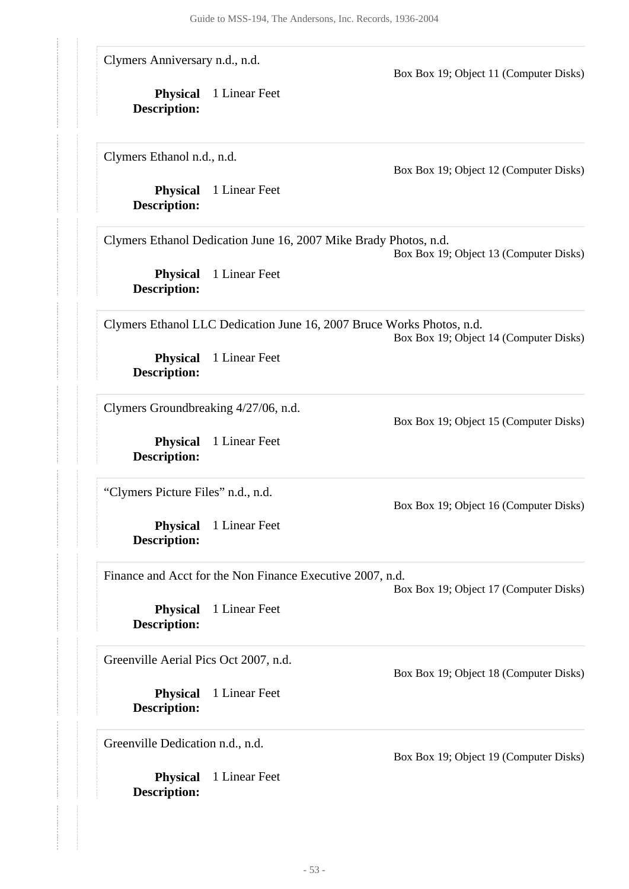Clymers Anniversary n.d., n.d.

Box Box 19; Object 11 (Computer Disks)

**Physical** 1 Linear Feet **Description:**

Clymers Ethanol n.d., n.d.

Box Box 19; Object 12 (Computer Disks)

**Physical** 1 Linear Feet **Description:**

Clymers Ethanol Dedication June 16, 2007 Mike Brady Photos, n.d.

Box Box 19; Object 13 (Computer Disks)

**Physical** 1 Linear Feet **Description:**

Clymers Ethanol LLC Dedication June 16, 2007 Bruce Works Photos, n.d.

Box Box 19; Object 14 (Computer Disks)

Box Box 19; Object 15 (Computer Disks)

Box Box 19; Object 16 (Computer Disks)

**Physical** 1 Linear Feet **Description:**

Clymers Groundbreaking 4/27/06, n.d.

**Physical** 1 Linear Feet **Description:**

"Clymers Picture Files" n.d., n.d.

**Physical** 1 Linear Feet **Description:**

Finance and Acct for the Non Finance Executive 2007, n.d.

Box Box 19; Object 17 (Computer Disks)

**Physical** 1 Linear Feet **Description:**

Greenville Aerial Pics Oct 2007, n.d.

**Physical** 1 Linear Feet **Description:**

Greenville Dedication n.d., n.d.

**Physical** 1 Linear Feet **Description:**

Box Box 19; Object 18 (Computer Disks)

Box Box 19; Object 19 (Computer Disks)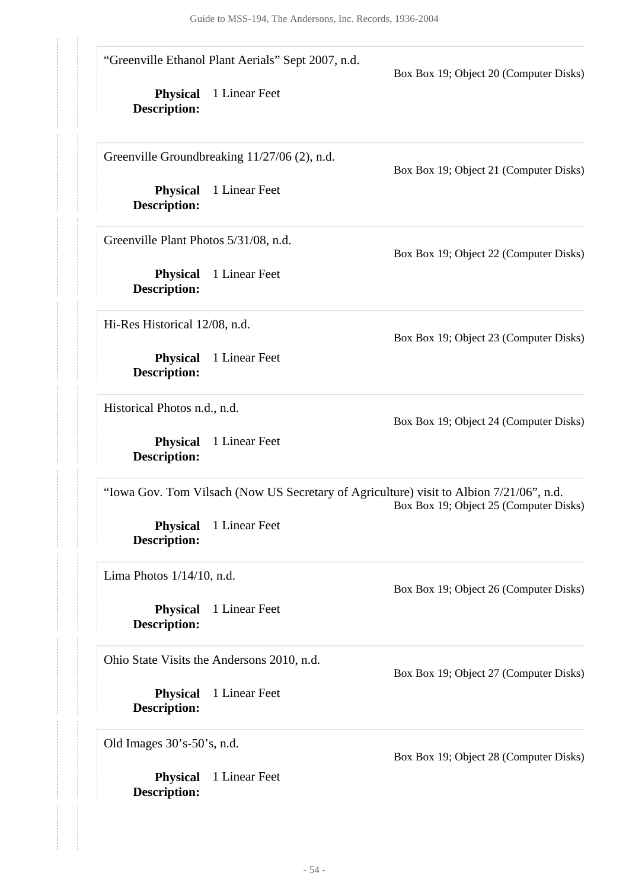**Physical** 1 Linear Feet **Physical** 1 Linear Feet **Description: Physical** 1 Linear Feet **Description: Physical** 1 Linear Feet **Description: Physical** 1 Linear Feet **Description: Physical** 1 Linear Feet **Description: Physical** 1 Linear Feet **Description: Physical** 1 Linear Feet **Description: Physical** 1 Linear Feet **Description:** "Greenville Ethanol Plant Aerials" Sept 2007, n.d. Box Box 19; Object 20 (Computer Disks) Greenville Groundbreaking 11/27/06 (2), n.d. Box Box 19; Object 21 (Computer Disks) Greenville Plant Photos 5/31/08, n.d. Box Box 19; Object 22 (Computer Disks) Hi-Res Historical 12/08, n.d. Box Box 19; Object 23 (Computer Disks) Historical Photos n.d., n.d. Box Box 19; Object 24 (Computer Disks) "Iowa Gov. Tom Vilsach (Now US Secretary of Agriculture) visit to Albion 7/21/06", n.d. Box Box 19; Object 25 (Computer Disks) Lima Photos 1/14/10, n.d. Box Box 19; Object 26 (Computer Disks) Ohio State Visits the Andersons 2010, n.d. Box Box 19; Object 27 (Computer Disks) Old Images 30's-50's, n.d. Box Box 19; Object 28 (Computer Disks)

- 54 -

**Description:**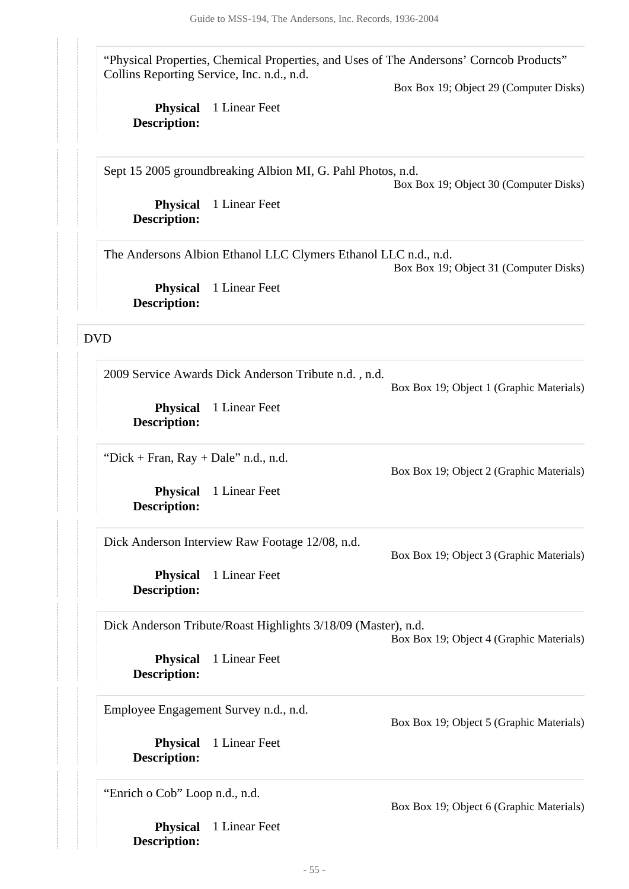"Physical Properties, Chemical Properties, and Uses of The Andersons' Corncob Products" Collins Reporting Service, Inc. n.d., n.d.

Box Box 19; Object 29 (Computer Disks)

**Physical** 1 Linear Feet **Description:**

Sept 15 2005 groundbreaking Albion MI, G. Pahl Photos, n.d.

Box Box 19; Object 30 (Computer Disks)

**Physical** 1 Linear Feet **Description:**

The Andersons Albion Ethanol LLC Clymers Ethanol LLC n.d., n.d. Box Box 19; Object 31 (Computer Disks)

**Physical** 1 Linear Feet **Description:**

### <span id="page-54-0"></span>DVD

2009 Service Awards Dick Anderson Tribute n.d. , n.d.

Box Box 19; Object 1 (Graphic Materials)

Box Box 19; Object 2 (Graphic Materials)

**Physical** 1 Linear Feet **Description:**

"Dick + Fran,  $Ray + Dale$ " n.d., n.d.

**Physical** 1 Linear Feet **Description:**

Dick Anderson Interview Raw Footage 12/08, n.d.

Box Box 19; Object 3 (Graphic Materials)

**Physical** 1 Linear Feet **Description:**

Dick Anderson Tribute/Roast Highlights 3/18/09 (Master), n.d.

Box Box 19; Object 4 (Graphic Materials)

**Physical** 1 Linear Feet **Description:**

Employee Engagement Survey n.d., n.d.

**Physical** 1 Linear Feet **Description:**

"Enrich o Cob" Loop n.d., n.d.

**Physical** 1 Linear Feet **Description:**

Box Box 19; Object 6 (Graphic Materials)

Box Box 19; Object 5 (Graphic Materials)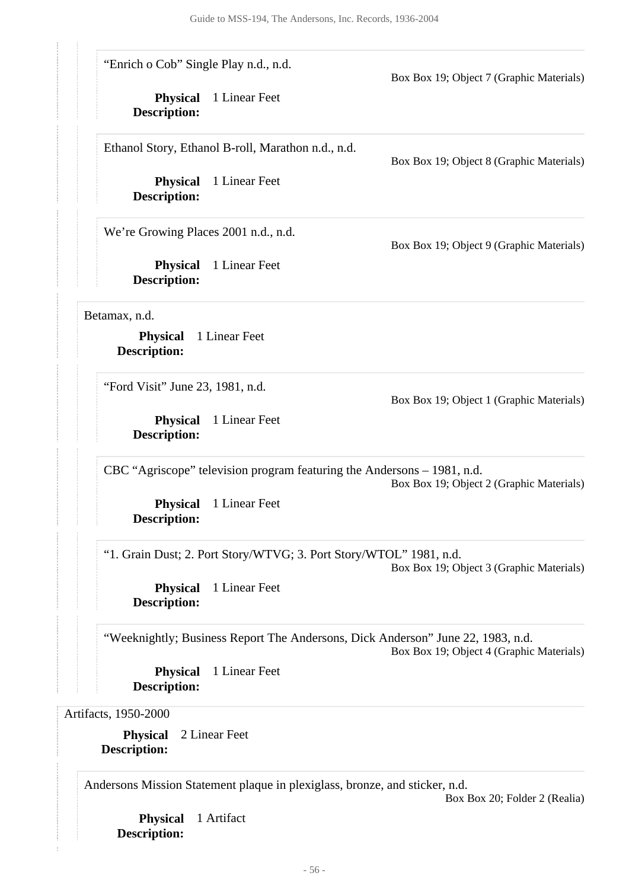| "Enrich o Cob" Single Play n.d., n.d.  |                                                                             | Box Box 19; Object 7 (Graphic Materials)                                                                                    |
|----------------------------------------|-----------------------------------------------------------------------------|-----------------------------------------------------------------------------------------------------------------------------|
| <b>Physical</b><br><b>Description:</b> | 1 Linear Feet                                                               |                                                                                                                             |
|                                        | Ethanol Story, Ethanol B-roll, Marathon n.d., n.d.                          | Box Box 19; Object 8 (Graphic Materials)                                                                                    |
| <b>Physical</b><br><b>Description:</b> | 1 Linear Feet                                                               |                                                                                                                             |
| We're Growing Places 2001 n.d., n.d.   |                                                                             | Box Box 19; Object 9 (Graphic Materials)                                                                                    |
| <b>Physical</b><br><b>Description:</b> | 1 Linear Feet                                                               |                                                                                                                             |
| Betamax, n.d.                          |                                                                             |                                                                                                                             |
| <b>Physical</b><br><b>Description:</b> | 1 Linear Feet                                                               |                                                                                                                             |
| "Ford Visit" June 23, 1981, n.d.       |                                                                             | Box Box 19; Object 1 (Graphic Materials)                                                                                    |
| <b>Physical</b><br>Description:        | 1 Linear Feet                                                               |                                                                                                                             |
|                                        | CBC "Agriscope" television program featuring the Andersons – 1981, n.d.     | Box Box 19; Object 2 (Graphic Materials)                                                                                    |
| <b>Description:</b>                    | <b>Physical</b> 1 Linear Feet                                               |                                                                                                                             |
|                                        | "1. Grain Dust; 2. Port Story/WTVG; 3. Port Story/WTOL" 1981, n.d.          | Box Box 19; Object 3 (Graphic Materials)                                                                                    |
| <b>Physical</b><br><b>Description:</b> | 1 Linear Feet                                                               |                                                                                                                             |
|                                        |                                                                             | "Weeknightly; Business Report The Andersons, Dick Anderson" June 22, 1983, n.d.<br>Box Box 19; Object 4 (Graphic Materials) |
| <b>Physical</b><br><b>Description:</b> | 1 Linear Feet                                                               |                                                                                                                             |
| Artifacts, 1950-2000                   |                                                                             |                                                                                                                             |
| <b>Physical</b><br><b>Description:</b> | 2 Linear Feet                                                               |                                                                                                                             |
|                                        | Andersons Mission Statement plaque in plexiglass, bronze, and sticker, n.d. | Box Box 20; Folder 2 (Realia)                                                                                               |

<span id="page-55-0"></span>**Physical** 1 Artifact **Description:**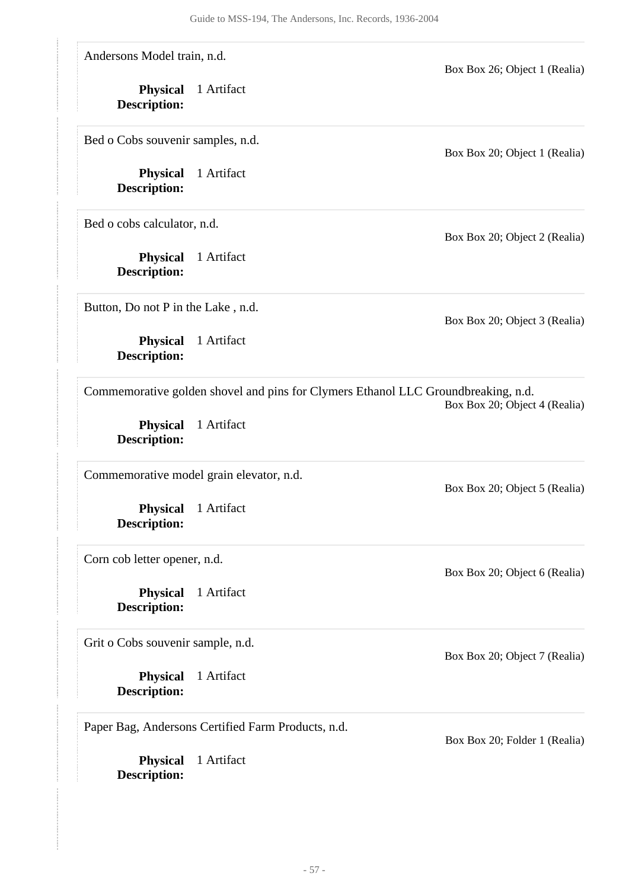**Physical** 1 Artifact **Description: Physical** 1 Artifact **Description: Physical** 1 Artifact **Description: Physical** 1 Artifact **Description: Physical** 1 Artifact **Description: Physical** 1 Artifact **Description: Physical** 1 Artifact **Description: Physical** 1 Artifact **Description: Physical** 1 Artifact **Description:** Andersons Model train, n.d. Box Box 26; Object 1 (Realia) Bed o Cobs souvenir samples, n.d. Box Box 20; Object 1 (Realia) Bed o cobs calculator, n.d. Box Box 20; Object 2 (Realia) Button, Do not P in the Lake , n.d. Box Box 20; Object 3 (Realia) Commemorative golden shovel and pins for Clymers Ethanol LLC Groundbreaking, n.d. Box Box 20; Object 4 (Realia) Commemorative model grain elevator, n.d. Box Box 20; Object 5 (Realia) Corn cob letter opener, n.d. Box Box 20; Object 6 (Realia) Grit o Cobs souvenir sample, n.d. Box Box 20; Object 7 (Realia) Paper Bag, Andersons Certified Farm Products, n.d. Box Box 20; Folder 1 (Realia)